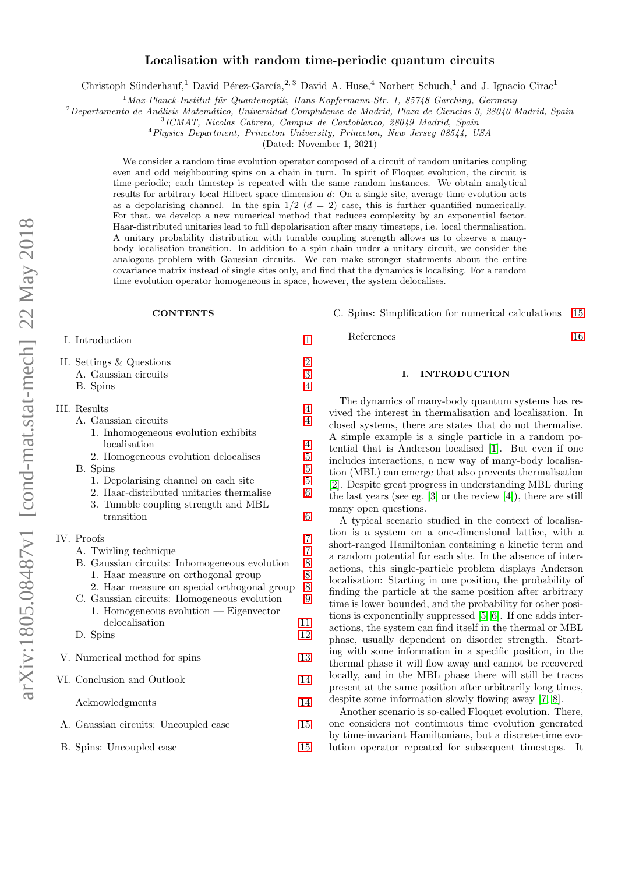# Localisation with random time-periodic quantum circuits

Christoph Sünderhauf,<sup>1</sup> David Pérez-García,<sup>2, 3</sup> David A. Huse,<sup>4</sup> Norbert Schuch,<sup>1</sup> and J. Ignacio Cirac<sup>1</sup>

 $1$ Max-Planck-Institut für Quantenoptik, Hans-Kopfermann-Str. 1, 85748 Garching, Germany

 $2$ Departamento de Análisis Matemático, Universidad Complutense de Madrid, Plaza de Ciencias 3, 28040 Madrid, Spain

3 ICMAT, Nicolas Cabrera, Campus de Cantoblanco, 28049 Madrid, Spain

<sup>4</sup>Physics Department, Princeton University, Princeton, New Jersey 08544, USA

(Dated: November 1, 2021)

We consider a random time evolution operator composed of a circuit of random unitaries coupling even and odd neighbouring spins on a chain in turn. In spirit of Floquet evolution, the circuit is time-periodic; each timestep is repeated with the same random instances. We obtain analytical results for arbitrary local Hilbert space dimension d: On a single site, average time evolution acts as a depolarising channel. In the spin  $1/2$   $(d = 2)$  case, this is further quantified numerically. For that, we develop a new numerical method that reduces complexity by an exponential factor. Haar-distributed unitaries lead to full depolarisation after many timesteps, i.e. local thermalisation. A unitary probability distribution with tunable coupling strength allows us to observe a manybody localisation transition. In addition to a spin chain under a unitary circuit, we consider the analogous problem with Gaussian circuits. We can make stronger statements about the entire covariance matrix instead of single sites only, and find that the dynamics is localising. For a random time evolution operator homogeneous in space, however, the system delocalises.

# **CONTENTS**

I. Introduction [1](#page-0-0)

| II. Settings & Questions                      |                |
|-----------------------------------------------|----------------|
| A. Gaussian circuits                          | $\frac{2}{3}$  |
| B. Spins                                      | $\overline{4}$ |
| III. Results                                  | $\overline{4}$ |
| A. Gaussian circuits                          | $\overline{4}$ |
| 1. Inhomogeneous evolution exhibits           |                |
| localisation                                  | $\overline{4}$ |
| 2. Homogeneous evolution delocalises          | $\overline{5}$ |
| B. Spins                                      | $\overline{5}$ |
| 1. Depolarising channel on each site          | $\overline{5}$ |
| 2. Haar-distributed unitaries thermalise      | 6              |
| 3. Tunable coupling strength and MBL          |                |
| transition                                    | 6              |
| IV. Proofs                                    | 7              |
| A. Twirling technique                         | $\overline{7}$ |
| B. Gaussian circuits: Inhomogeneous evolution |                |
| 1. Haar measure on orthogonal group           | $\frac{8}{8}$  |
| 2. Haar measure on special orthogonal group   | 8              |
| C. Gaussian circuits: Homogeneous evolution   | 9              |
| 1. Homogeneous evolution — Eigenvector        |                |
| delocalisation                                | 11             |
| D. Spins                                      | 12             |
| V. Numerical method for spins                 | 13             |
|                                               |                |
| VI. Conclusion and Outlook                    | 14             |
| Acknowledgments                               | 14             |
| A. Gaussian circuits: Uncoupled case          | 15             |
| B. Spins: Uncoupled case                      | 15             |
|                                               |                |

C. Spins: Simplification for numerical calculations [15](#page-14-2)

References [16](#page-15-0)

# <span id="page-0-0"></span>I. INTRODUCTION

The dynamics of many-body quantum systems has revived the interest in thermalisation and localisation. In closed systems, there are states that do not thermalise. A simple example is a single particle in a random potential that is Anderson localised [\[1\]](#page-15-1). But even if one includes interactions, a new way of many-body localisation (MBL) can emerge that also prevents thermalisation [\[2\]](#page-15-2). Despite great progress in understanding MBL during the last years (see eg. [\[3\]](#page-15-3) or the review [\[4\]](#page-15-4)), there are still many open questions.

A typical scenario studied in the context of localisation is a system on a one-dimensional lattice, with a short-ranged Hamiltonian containing a kinetic term and a random potential for each site. In the absence of interactions, this single-particle problem displays Anderson localisation: Starting in one position, the probability of finding the particle at the same position after arbitrary time is lower bounded, and the probability for other positions is exponentially suppressed [\[5,](#page-15-5) [6\]](#page-15-6). If one adds interactions, the system can find itself in the thermal or MBL phase, usually dependent on disorder strength. Starting with some information in a specific position, in the thermal phase it will flow away and cannot be recovered locally, and in the MBL phase there will still be traces present at the same position after arbitrarily long times, despite some information slowly flowing away [\[7,](#page-15-7) [8\]](#page-15-8).

Another scenario is so-called Floquet evolution. There, one considers not continuous time evolution generated by time-invariant Hamiltonians, but a discrete-time evolution operator repeated for subsequent timesteps. It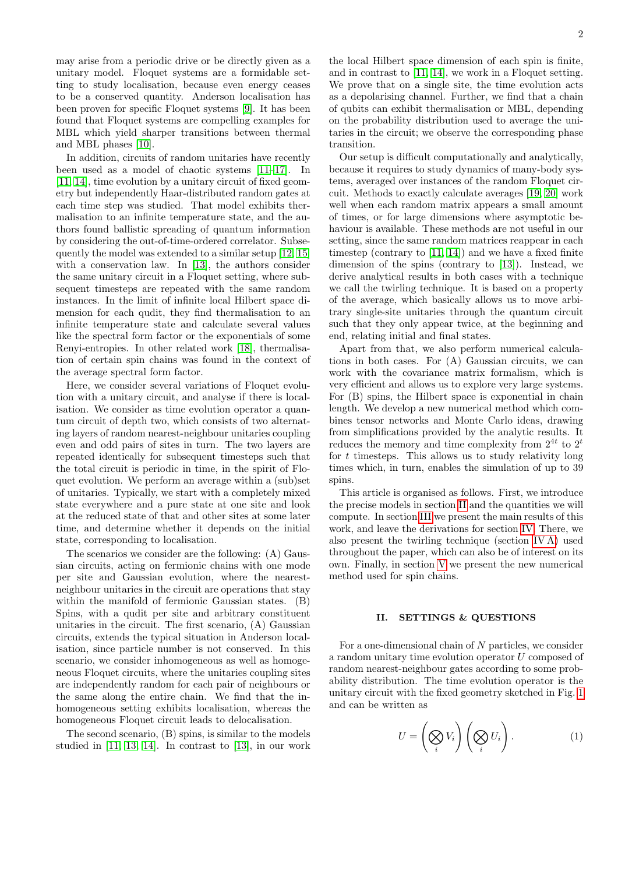may arise from a periodic drive or be directly given as a unitary model. Floquet systems are a formidable setting to study localisation, because even energy ceases to be a conserved quantity. Anderson localisation has been proven for specific Floquet systems [\[9\]](#page-15-9). It has been found that Floquet systems are compelling examples for MBL which yield sharper transitions between thermal and MBL phases [\[10\]](#page-15-10).

In addition, circuits of random unitaries have recently been used as a model of chaotic systems [\[11–](#page-15-11)[17\]](#page-15-12). In [\[11,](#page-15-11) [14\]](#page-15-13), time evolution by a unitary circuit of fixed geometry but independently Haar-distributed random gates at each time step was studied. That model exhibits thermalisation to an infinite temperature state, and the authors found ballistic spreading of quantum information by considering the out-of-time-ordered correlator. Subsequently the model was extended to a similar setup [\[12,](#page-15-14) [15\]](#page-15-15) with a conservation law. In [\[13\]](#page-15-16), the authors consider the same unitary circuit in a Floquet setting, where subsequent timesteps are repeated with the same random instances. In the limit of infinite local Hilbert space dimension for each qudit, they find thermalisation to an infinite temperature state and calculate several values like the spectral form factor or the exponentials of some Renyi-entropies. In other related work [\[18\]](#page-15-17), thermalisation of certain spin chains was found in the context of the average spectral form factor.

Here, we consider several variations of Floquet evolution with a unitary circuit, and analyse if there is localisation. We consider as time evolution operator a quantum circuit of depth two, which consists of two alternating layers of random nearest-neighbour unitaries coupling even and odd pairs of sites in turn. The two layers are repeated identically for subsequent timesteps such that the total circuit is periodic in time, in the spirit of Floquet evolution. We perform an average within a (sub)set of unitaries. Typically, we start with a completely mixed state everywhere and a pure state at one site and look at the reduced state of that and other sites at some later time, and determine whether it depends on the initial state, corresponding to localisation.

The scenarios we consider are the following: (A) Gaussian circuits, acting on fermionic chains with one mode per site and Gaussian evolution, where the nearestneighbour unitaries in the circuit are operations that stay within the manifold of fermionic Gaussian states. (B) Spins, with a qudit per site and arbitrary constituent unitaries in the circuit. The first scenario, (A) Gaussian circuits, extends the typical situation in Anderson localisation, since particle number is not conserved. In this scenario, we consider inhomogeneous as well as homogeneous Floquet circuits, where the unitaries coupling sites are independently random for each pair of neighbours or the same along the entire chain. We find that the inhomogeneous setting exhibits localisation, whereas the homogeneous Floquet circuit leads to delocalisation.

The second scenario, (B) spins, is similar to the models studied in [\[11,](#page-15-11) [13,](#page-15-16) [14\]](#page-15-13). In contrast to [\[13\]](#page-15-16), in our work

the local Hilbert space dimension of each spin is finite, and in contrast to [\[11,](#page-15-11) [14\]](#page-15-13), we work in a Floquet setting. We prove that on a single site, the time evolution acts as a depolarising channel. Further, we find that a chain of qubits can exhibit thermalisation or MBL, depending on the probability distribution used to average the unitaries in the circuit; we observe the corresponding phase transition.

Our setup is difficult computationally and analytically, because it requires to study dynamics of many-body systems, averaged over instances of the random Floquet circuit. Methods to exactly calculate averages [\[19,](#page-15-18) [20\]](#page-15-19) work well when each random matrix appears a small amount of times, or for large dimensions where asymptotic behaviour is available. These methods are not useful in our setting, since the same random matrices reappear in each timestep (contrary to [\[11,](#page-15-11) [14\]](#page-15-13)) and we have a fixed finite dimension of the spins (contrary to [\[13\]](#page-15-16)). Instead, we derive analytical results in both cases with a technique we call the twirling technique. It is based on a property of the average, which basically allows us to move arbitrary single-site unitaries through the quantum circuit such that they only appear twice, at the beginning and end, relating initial and final states.

Apart from that, we also perform numerical calculations in both cases. For (A) Gaussian circuits, we can work with the covariance matrix formalism, which is very efficient and allows us to explore very large systems. For (B) spins, the Hilbert space is exponential in chain length. We develop a new numerical method which combines tensor networks and Monte Carlo ideas, drawing from simplifications provided by the analytic results. It reduces the memory and time complexity from  $2^{4t}$  to  $2^t$ for  $t$  timesteps. This allows us to study relativity long times which, in turn, enables the simulation of up to 39 spins.

This article is organised as follows. First, we introduce the precise models in section [II](#page-1-0) and the quantities we will compute. In section [III](#page-3-1) we present the main results of this work, and leave the derivations for section [IV.](#page-6-0) There, we also present the twirling technique (section [IV A\)](#page-6-1) used throughout the paper, which can also be of interest on its own. Finally, in section [V](#page-12-0) we present the new numerical method used for spin chains.

### <span id="page-1-0"></span>II. SETTINGS & QUESTIONS

For a one-dimensional chain of N particles, we consider a random unitary time evolution operator U composed of random nearest-neighbour gates according to some probability distribution. The time evolution operator is the unitary circuit with the fixed geometry sketched in Fig. [1](#page-2-1) and can be written as

<span id="page-1-1"></span>
$$
U = \left(\bigotimes_i V_i\right) \left(\bigotimes_i U_i\right). \tag{1}
$$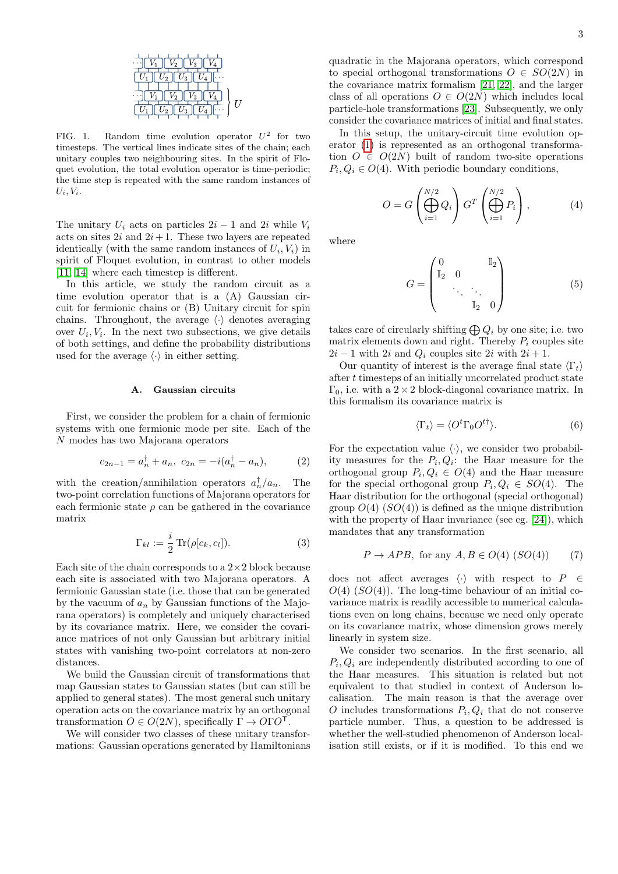

<span id="page-2-1"></span>FIG. 1. Random time evolution operator  $U^2$  for two timesteps. The vertical lines indicate sites of the chain; each unitary couples two neighbouring sites. In the spirit of Floquet evolution, the total evolution operator is time-periodic; the time step is repeated with the same random instances of  $U_i, V_i.$ 

The unitary  $U_i$  acts on particles  $2i - 1$  and  $2i$  while  $V_i$ acts on sites  $2i$  and  $2i+1$ . These two layers are repeated identically (with the same random instances of  $U_i, V_i$ ) in spirit of Floquet evolution, in contrast to other models [\[11,](#page-15-11) [14\]](#page-15-13) where each timestep is different.

In this article, we study the random circuit as a time evolution operator that is a (A) Gaussian circuit for fermionic chains or (B) Unitary circuit for spin chains. Throughout, the average  $\langle \cdot \rangle$  denotes averaging over  $U_i, V_i$ . In the next two subsections, we give details of both settings, and define the probability distributions used for the average  $\langle \cdot \rangle$  in either setting.

### <span id="page-2-0"></span>A. Gaussian circuits

First, we consider the problem for a chain of fermionic systems with one fermionic mode per site. Each of the N modes has two Majorana operators

$$
c_{2n-1} = a_n^{\dagger} + a_n, \ c_{2n} = -i(a_n^{\dagger} - a_n), \tag{2}
$$

with the creation/annihilation operators  $a_n^{\dagger}/a_n$ . The two-point correlation functions of Majorana operators for each fermionic state  $\rho$  can be gathered in the covariance matrix

$$
\Gamma_{kl} := \frac{i}{2} \operatorname{Tr}(\rho[c_k, c_l]). \tag{3}
$$

Each site of the chain corresponds to a  $2\times 2$  block because each site is associated with two Majorana operators. A fermionic Gaussian state (i.e. those that can be generated by the vacuum of  $a_n$  by Gaussian functions of the Majorana operators) is completely and uniquely characterised by its covariance matrix. Here, we consider the covariance matrices of not only Gaussian but arbitrary initial states with vanishing two-point correlators at non-zero distances.

We build the Gaussian circuit of transformations that map Gaussian states to Gaussian states (but can still be applied to general states). The most general such unitary operation acts on the covariance matrix by an orthogonal transformation  $O \in O(2N)$ , specifically  $\Gamma \to O\Gamma O^{T}$ .

We will consider two classes of these unitary transformations: Gaussian operations generated by Hamiltonians quadratic in the Majorana operators, which correspond to special orthogonal transformations  $O \in SO(2N)$  in the covariance matrix formalism [\[21,](#page-15-20) [22\]](#page-15-21), and the larger class of all operations  $O \in O(2N)$  which includes local particle-hole transformations [\[23\]](#page-15-22). Subsequently, we only consider the covariance matrices of initial and final states.

In this setup, the unitary-circuit time evolution operator [\(1\)](#page-1-1) is represented as an orthogonal transformation  $O \in O(2N)$  built of random two-site operations  $P_i, Q_i \in O(4)$ . With periodic boundary conditions,

<span id="page-2-2"></span>
$$
O = G\left(\bigoplus_{i=1}^{N/2} Q_i\right) G^T\left(\bigoplus_{i=1}^{N/2} P_i\right),\tag{4}
$$

where

$$
G = \begin{pmatrix} 0 & \mathbb{I}_2 \\ \mathbb{I}_2 & 0 & \\ & \ddots & \ddots \\ & & \mathbb{I}_2 & 0 \end{pmatrix} \tag{5}
$$

takes care of circularly shifting  $\bigoplus Q_i$  by one site; i.e. two matrix elements down and right. Thereby  $P_i$  couples site  $2i - 1$  with  $2i$  and  $Q_i$  couples site  $2i$  with  $2i + 1$ .

Our quantity of interest is the average final state  $\langle \Gamma_t \rangle$ after t timesteps of an initially uncorrelated product state  $\Gamma_0$ , i.e. with a  $2 \times 2$  block-diagonal covariance matrix. In this formalism its covariance matrix is

<span id="page-2-3"></span>
$$
\langle \Gamma_t \rangle = \langle O^t \Gamma_0 O^{t\dagger} \rangle. \tag{6}
$$

For the expectation value  $\langle \cdot \rangle$ , we consider two probability measures for the  $P_i, Q_i$ : the Haar measure for the orthogonal group  $P_i, Q_i \in O(4)$  and the Haar measure for the special orthogonal group  $P_i, Q_i \in SO(4)$ . The Haar distribution for the orthogonal (special orthogonal) group  $O(4)$  ( $SO(4)$ ) is defined as the unique distribution with the property of Haar invariance (see eg. [\[24\]](#page-15-23)), which mandates that any transformation

$$
P \to APB, \text{ for any } A, B \in O(4) (SO(4)) \tag{7}
$$

does not affect averages  $\langle \cdot \rangle$  with respect to P ∈  $O(4)$  (SO(4)). The long-time behaviour of an initial covariance matrix is readily accessible to numerical calculations even on long chains, because we need only operate on its covariance matrix, whose dimension grows merely linearly in system size.

We consider two scenarios. In the first scenario, all  $P_i, Q_i$  are independently distributed according to one of the Haar measures. This situation is related but not equivalent to that studied in context of Anderson localisation. The main reason is that the average over O includes transformations  $P_i, Q_i$  that do not conserve particle number. Thus, a question to be addressed is whether the well-studied phenomenon of Anderson localisation still exists, or if it is modified. To this end we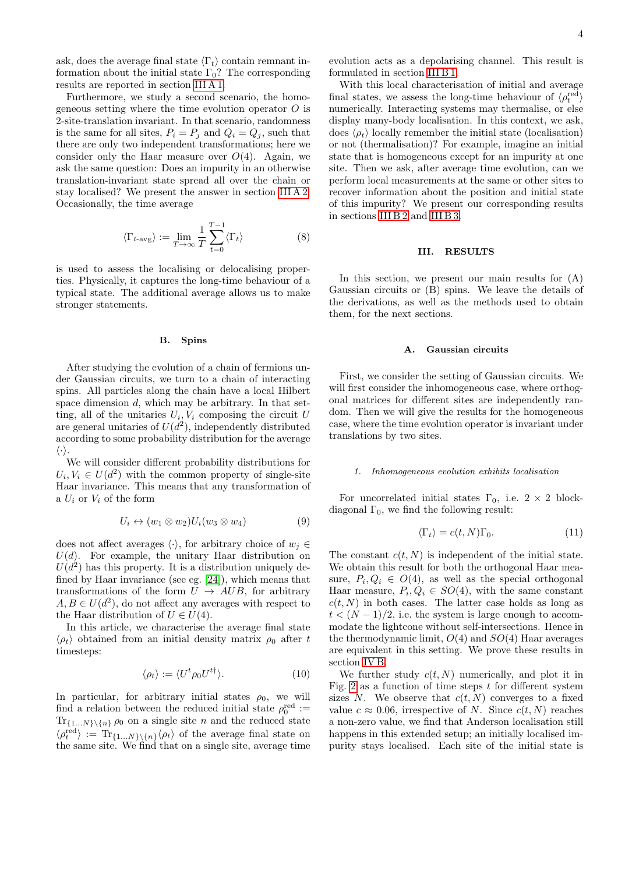ask, does the average final state  $\langle \Gamma_t \rangle$  contain remnant information about the initial state  $\Gamma_0$ ? The corresponding results are reported in section [III A 1.](#page-3-3)

Furthermore, we study a second scenario, the homogeneous setting where the time evolution operator  $\hat{O}$  is 2-site-translation invariant. In that scenario, randomness is the same for all sites,  $P_i = P_j$  and  $Q_i = Q_j$ , such that there are only two independent transformations; here we consider only the Haar measure over  $O(4)$ . Again, we ask the same question: Does an impurity in an otherwise translation-invariant state spread all over the chain or stay localised? We present the answer in section [III A 2.](#page-4-0) Occasionally, the time average

$$
\langle \Gamma_{t-\text{avg}} \rangle := \lim_{T \to \infty} \frac{1}{T} \sum_{t=0}^{T-1} \langle \Gamma_t \rangle \tag{8}
$$

is used to assess the localising or delocalising properties. Physically, it captures the long-time behaviour of a typical state. The additional average allows us to make stronger statements.

### <span id="page-3-0"></span>B. Spins

After studying the evolution of a chain of fermions under Gaussian circuits, we turn to a chain of interacting spins. All particles along the chain have a local Hilbert space dimension  $d$ , which may be arbitrary. In that setting, all of the unitaries  $U_i, V_i$  composing the circuit U are general unitaries of  $U(d^2)$ , independently distributed according to some probability distribution for the average  $\langle \cdot \rangle$ .

We will consider different probability distributions for  $U_i, V_i \in U(d^2)$  with the common property of single-site Haar invariance. This means that any transformation of a  $U_i$  or  $V_i$  of the form

$$
U_i \leftrightarrow (w_1 \otimes w_2)U_i(w_3 \otimes w_4) \tag{9}
$$

does not affect averages  $\langle \cdot \rangle$ , for arbitrary choice of  $w_i \in$  $U(d)$ . For example, the unitary Haar distribution on  $U(d^2)$  has this property. It is a distribution uniquely defined by Haar invariance (see eg. [\[24\]](#page-15-23)), which means that transformations of the form  $U \rightarrow AUB$ , for arbitrary  $A, B \in U(d^2)$ , do not affect any averages with respect to the Haar distribution of  $U \in U(4)$ .

In this article, we characterise the average final state  $\langle \rho_t \rangle$  obtained from an initial density matrix  $\rho_0$  after t timesteps:

<span id="page-3-5"></span>
$$
\langle \rho_t \rangle := \langle U^t \rho_0 U^{t\dagger} \rangle. \tag{10}
$$

In particular, for arbitrary initial states  $\rho_0$ , we will find a relation between the reduced initial state  $\rho_0^{\text{red}} :=$  $\text{Tr}_{\{1...N\}\backslash\{n\}}\rho_0$  on a single site n and the reduced state  $\langle \rho_t^{\text{red}} \rangle := \text{Tr}_{\{1...N\} \setminus \{n\}} \langle \rho_t \rangle$  of the average final state on the same site. We find that on a single site, average time evolution acts as a depolarising channel. This result is formulated in section [III B 1.](#page-4-2)

With this local characterisation of initial and average final states, we assess the long-time behaviour of  $\langle \rho_t^{\text{red}} \rangle$ numerically. Interacting systems may thermalise, or else display many-body localisation. In this context, we ask, does  $\langle \rho_t \rangle$  locally remember the initial state (localisation) or not (thermalisation)? For example, imagine an initial state that is homogeneous except for an impurity at one site. Then we ask, after average time evolution, can we perform local measurements at the same or other sites to recover information about the position and initial state of this impurity? We present our corresponding results in sections [III B 2](#page-5-0) and [III B 3.](#page-5-1)

### <span id="page-3-1"></span>III. RESULTS

In this section, we present our main results for (A) Gaussian circuits or (B) spins. We leave the details of the derivations, as well as the methods used to obtain them, for the next sections.

### <span id="page-3-2"></span>A. Gaussian circuits

First, we consider the setting of Gaussian circuits. We will first consider the inhomogeneous case, where orthogonal matrices for different sites are independently random. Then we will give the results for the homogeneous case, where the time evolution operator is invariant under translations by two sites.

### <span id="page-3-3"></span>1. Inhomogeneous evolution exhibits localisation

For uncorrelated initial states  $\Gamma_0$ , i.e.  $2 \times 2$  blockdiagonal  $\Gamma_0$ , we find the following result:

<span id="page-3-4"></span>
$$
\langle \Gamma_t \rangle = c(t, N) \Gamma_0. \tag{11}
$$

The constant  $c(t, N)$  is independent of the initial state. We obtain this result for both the orthogonal Haar measure,  $P_i, Q_i \in O(4)$ , as well as the special orthogonal Haar measure,  $P_i, Q_i \in SO(4)$ , with the same constant  $c(t, N)$  in both cases. The latter case holds as long as  $t < (N-1)/2$ , i.e. the system is large enough to accommodate the lightcone without self-intersections. Hence in the thermodynamic limit,  $O(4)$  and  $SO(4)$  Haar averages are equivalent in this setting. We prove these results in section [IV B.](#page-7-0)

We further study  $c(t, N)$  numerically, and plot it in Fig. [2](#page-4-3) as a function of time steps  $t$  for different system sizes N. We observe that  $c(t, N)$  converges to a fixed value  $c \approx 0.06$ , irrespective of N. Since  $c(t, N)$  reaches a non-zero value, we find that Anderson localisation still happens in this extended setup; an initially localised impurity stays localised. Each site of the initial state is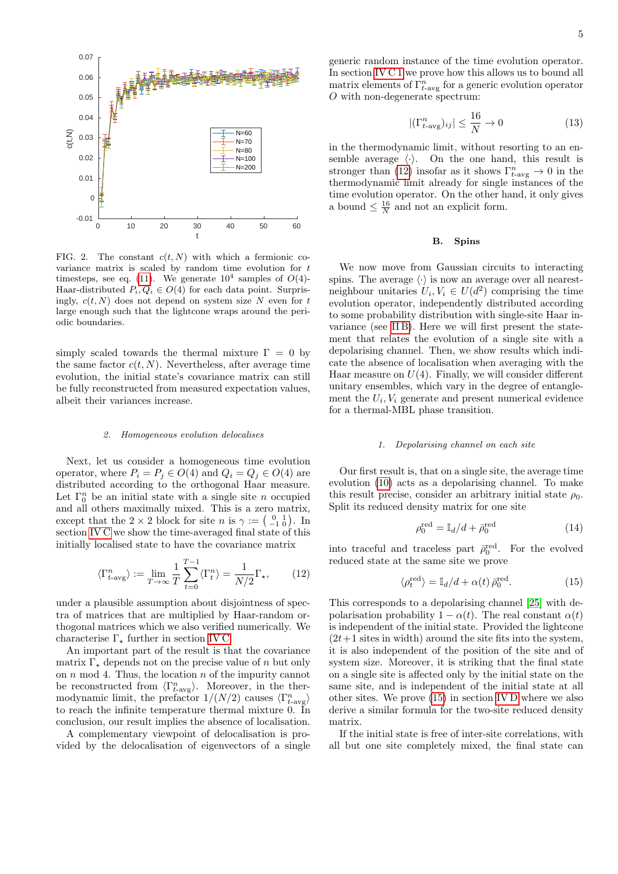

<span id="page-4-3"></span>FIG. 2. The constant  $c(t, N)$  with which a fermionic covariance matrix is scaled by random time evolution for t timesteps, see eq. [\(11\)](#page-3-4). We generate  $10^4$  samples of  $O(4)$ -Haar-distributed  $P_i, Q_i \in O(4)$  for each data point. Surprisingly,  $c(t, N)$  does not depend on system size N even for t large enough such that the lightcone wraps around the periodic boundaries.

simply scaled towards the thermal mixture  $\Gamma = 0$  by the same factor  $c(t, N)$ . Nevertheless, after average time evolution, the initial state's covariance matrix can still be fully reconstructed from measured expectation values, albeit their variances increase.

#### <span id="page-4-0"></span>2. Homogeneous evolution delocalises

Next, let us consider a homogeneous time evolution operator, where  $P_i = P_j \in O(4)$  and  $Q_i = Q_j \in O(4)$  are distributed according to the orthogonal Haar measure. Let  $\Gamma_0^n$  be an initial state with a single site n occupied and all others maximally mixed. This is a zero matrix, except that the  $2 \times 2$  block for site n is  $\gamma := \begin{pmatrix} 0 & 1 \\ -1 & 0 \end{pmatrix}$ . In section [IV C](#page-8-0) we show the time-averaged final state of this initially localised state to have the covariance matrix

<span id="page-4-4"></span>
$$
\langle \Gamma_{t-\text{avg}}^n \rangle := \lim_{T \to \infty} \frac{1}{T} \sum_{t=0}^{T-1} \langle \Gamma_t^n \rangle = \frac{1}{N/2} \Gamma_\star, \qquad (12)
$$

under a plausible assumption about disjointness of spectra of matrices that are multiplied by Haar-random orthogonal matrices which we also verified numerically. We characterise  $\Gamma_{\star}$  further in section [IV C.](#page-8-0)

An important part of the result is that the covariance matrix  $\Gamma_{\star}$  depends not on the precise value of n but only on  $n \mod 4$ . Thus, the location  $n$  of the impurity cannot be reconstructed from  $\langle \Gamma_{t-\text{avg}}^n \rangle$ . Moreover, in the thermodynamic limit, the prefactor  $1/(N/2)$  causes  $\langle \Gamma_{t-\text{avg}}^n \rangle$ to reach the infinite temperature thermal mixture 0. In conclusion, our result implies the absence of localisation.

A complementary viewpoint of delocalisation is provided by the delocalisation of eigenvectors of a single generic random instance of the time evolution operator. In section [IV C 1](#page-10-0) we prove how this allows us to bound all matrix elements of  $\Gamma^n_{t-\text{avg}}$  for a generic evolution operator O with non-degenerate spectrum:

<span id="page-4-6"></span>
$$
|(\Gamma_{t-\text{avg}}^n)_{ij}| \le \frac{16}{N} \to 0
$$
 (13)

in the thermodynamic limit, without resorting to an ensemble average  $\langle \cdot \rangle$ . On the one hand, this result is stronger than [\(12\)](#page-4-4) insofar as it shows  $\Gamma_{t-\text{avg}}^n \to 0$  in the thermodynamic limit already for single instances of the time evolution operator. On the other hand, it only gives a bound  $\leq \frac{16}{N}$  and not an explicit form.

#### <span id="page-4-1"></span>B. Spins

We now move from Gaussian circuits to interacting spins. The average  $\langle \cdot \rangle$  is now an average over all nearestneighbour unitaries  $U_i, V_i \in U(d^2)$  comprising the time evolution operator, independently distributed according to some probability distribution with single-site Haar invariance (see [II B\)](#page-3-0). Here we will first present the statement that relates the evolution of a single site with a depolarising channel. Then, we show results which indicate the absence of localisation when averaging with the Haar measure on  $U(4)$ . Finally, we will consider different unitary ensembles, which vary in the degree of entanglement the  $U_i$ ,  $V_i$  generate and present numerical evidence for a thermal-MBL phase transition.

#### <span id="page-4-2"></span>1. Depolarising channel on each site

Our first result is, that on a single site, the average time evolution [\(10\)](#page-3-5) acts as a depolarising channel. To make this result precise, consider an arbitrary initial state  $\rho_0$ . Split its reduced density matrix for one site

$$
\rho_0^{\text{red}} = \mathbb{I}_d/d + \bar{\rho}_0^{\text{red}} \tag{14}
$$

into traceful and traceless part  $\bar{\rho}_0^{\text{red}}$ . For the evolved reduced state at the same site we prove

<span id="page-4-5"></span>
$$
\langle \rho_t^{\text{red}} \rangle = \mathbb{I}_d/d + \alpha(t) \,\bar{\rho}_0^{\text{red}}.\tag{15}
$$

This corresponds to a depolarising channel [\[25\]](#page-15-24) with depolarisation probability  $1 - \alpha(t)$ . The real constant  $\alpha(t)$ is independent of the initial state. Provided the lightcone  $(2t+1$  sites in width) around the site fits into the system, it is also independent of the position of the site and of system size. Moreover, it is striking that the final state on a single site is affected only by the initial state on the same site, and is independent of the initial state at all other sites. We prove [\(15\)](#page-4-5) in section [IV D](#page-11-0) where we also derive a similar formula for the two-site reduced density matrix.

If the initial state is free of inter-site correlations, with all but one site completely mixed, the final state can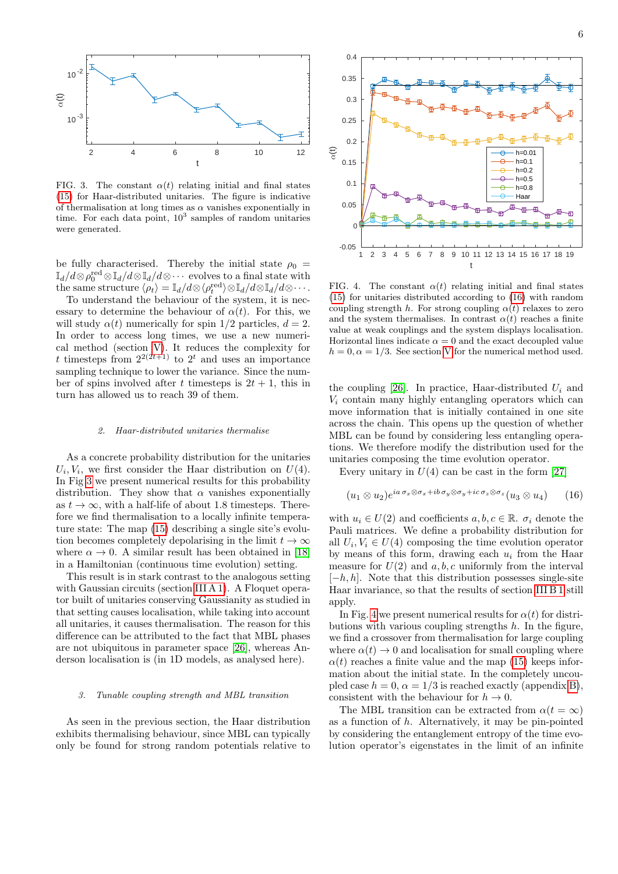

<span id="page-5-2"></span>FIG. 3. The constant  $\alpha(t)$  relating initial and final states [\(15\)](#page-4-5) for Haar-distributed unitaries. The figure is indicative of thermalisation at long times as  $\alpha$  vanishes exponentially in time. For each data point,  $10^3$  samples of random unitaries were generated.

be fully characterised. Thereby the initial state  $\rho_0 =$  $\mathbb{I}_{d}/d\otimes \rho_{0}^{\mathrm{red}}\otimes \mathbb{I}_{d}/d\otimes \mathbb{I}_{d}/d\otimes \cdots \text{ evolves to a final state with}$ the same structure  $\langle \rho_t \rangle = \mathbb{I}_d/d \otimes \langle \rho_t^{\text{red}} \rangle \otimes \mathbb{I}_d/d \otimes \mathbb{I}_d/d \otimes \cdots$ .

To understand the behaviour of the system, it is necessary to determine the behaviour of  $\alpha(t)$ . For this, we will study  $\alpha(t)$  numerically for spin 1/2 particles,  $d = 2$ . In order to access long times, we use a new numerical method (section [V\)](#page-12-0). It reduces the complexity for t timesteps from  $2^{2(2t+1)}$  to  $2^t$  and uses an importance sampling technique to lower the variance. Since the number of spins involved after t timesteps is  $2t + 1$ , this in turn has allowed us to reach 39 of them.

#### <span id="page-5-0"></span>2. Haar-distributed unitaries thermalise

As a concrete probability distribution for the unitaries  $U_i, V_i$ , we first consider the Haar distribution on  $U(4)$ . In Fig [3](#page-5-2) we present numerical results for this probability distribution. They show that  $\alpha$  vanishes exponentially as  $t \to \infty$ , with a half-life of about 1.8 timesteps. Therefore we find thermalisation to a locally infinite temperature state: The map [\(15\)](#page-4-5) describing a single site's evolution becomes completely depolarising in the limit  $t \to \infty$ where  $\alpha \to 0$ . A similar result has been obtained in [\[18\]](#page-15-17) in a Hamiltonian (continuous time evolution) setting.

This result is in stark contrast to the analogous setting with Gaussian circuits (section [III A 1\)](#page-3-3). A Floquet operator built of unitaries conserving Gaussianity as studied in that setting causes localisation, while taking into account all unitaries, it causes thermalisation. The reason for this difference can be attributed to the fact that MBL phases are not ubiquitous in parameter space [\[26\]](#page-15-25), whereas Anderson localisation is (in 1D models, as analysed here).

#### <span id="page-5-1"></span>3. Tunable coupling strength and MBL transition

As seen in the previous section, the Haar distribution exhibits thermalising behaviour, since MBL can typically only be found for strong random potentials relative to



<span id="page-5-4"></span>FIG. 4. The constant  $\alpha(t)$  relating initial and final states [\(15\)](#page-4-5) for unitaries distributed according to [\(16\)](#page-5-3) with random coupling strength h. For strong coupling  $\alpha(t)$  relaxes to zero and the system thermalises. In contrast  $\alpha(t)$  reaches a finite value at weak couplings and the system displays localisation. Horizontal lines indicate  $\alpha = 0$  and the exact decoupled value  $h = 0, \alpha = 1/3$ . See section [V](#page-12-0) for the numerical method used.

the coupling [\[26\]](#page-15-25). In practice, Haar-distributed  $U_i$  and  $V_i$  contain many highly entangling operators which can move information that is initially contained in one site across the chain. This opens up the question of whether MBL can be found by considering less entangling operations. We therefore modify the distribution used for the unitaries composing the time evolution operator.

Every unitary in  $U(4)$  can be cast in the form [\[27\]](#page-15-26)

<span id="page-5-3"></span>
$$
(u_1 \otimes u_2)e^{ia\sigma_x \otimes \sigma_x + ib\sigma_y \otimes \sigma_y + ic\sigma_z \otimes \sigma_z}(u_3 \otimes u_4) \qquad (16)
$$

with  $u_i \in U(2)$  and coefficients  $a, b, c \in \mathbb{R}$ .  $\sigma_i$  denote the Pauli matrices. We define a probability distribution for all  $U_i, V_i \in U(4)$  composing the time evolution operator by means of this form, drawing each  $u_i$  from the Haar measure for  $U(2)$  and  $a, b, c$  uniformly from the interval  $[-h, h]$ . Note that this distribution possesses single-site Haar invariance, so that the results of section [III B 1](#page-4-2) still apply.

In Fig. [4](#page-5-4) we present numerical results for  $\alpha(t)$  for distributions with various coupling strengths  $h$ . In the figure, we find a crossover from thermalisation for large coupling where  $\alpha(t) \rightarrow 0$  and localisation for small coupling where  $\alpha(t)$  reaches a finite value and the map [\(15\)](#page-4-5) keeps information about the initial state. In the completely uncoupled case  $h = 0$ ,  $\alpha = 1/3$  is reached exactly (appendix [B\)](#page-14-1), consistent with the behaviour for  $h \to 0$ .

The MBL transition can be extracted from  $\alpha(t = \infty)$ as a function of  $h$ . Alternatively, it may be pin-pointed by considering the entanglement entropy of the time evolution operator's eigenstates in the limit of an infinite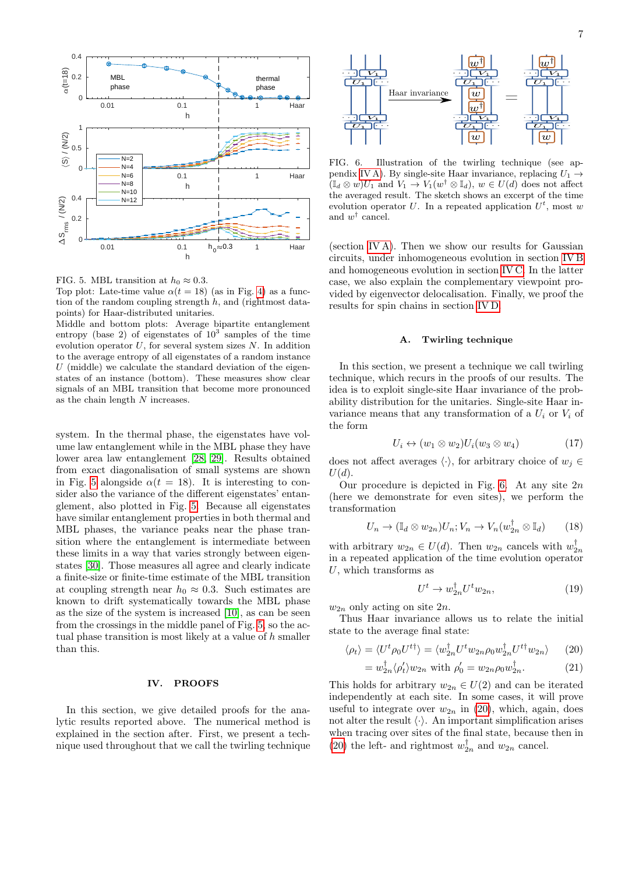

<span id="page-6-2"></span>FIG. 5. MBL transition at  $h_0 \approx 0.3$ .

Top plot: Late-time value  $\alpha(t = 18)$  (as in Fig. [4\)](#page-5-4) as a function of the random coupling strength  $h$ , and (rightmost datapoints) for Haar-distributed unitaries.

Middle and bottom plots: Average bipartite entanglement entropy (base 2) of eigenstates of  $10^3$  samples of the time evolution operator  $U$ , for several system sizes  $N$ . In addition to the average entropy of all eigenstates of a random instance  $U$  (middle) we calculate the standard deviation of the eigenstates of an instance (bottom). These measures show clear signals of an MBL transition that become more pronounced as the chain length  ${\cal N}$  increases.

system. In the thermal phase, the eigenstates have volume law entanglement while in the MBL phase they have lower area law entanglement [\[28,](#page-15-27) [29\]](#page-15-28). Results obtained from exact diagonalisation of small systems are shown in Fig. [5](#page-6-2) alongside  $\alpha(t = 18)$ . It is interesting to consider also the variance of the different eigenstates' entanglement, also plotted in Fig. [5.](#page-6-2) Because all eigenstates have similar entanglement properties in both thermal and MBL phases, the variance peaks near the phase transition where the entanglement is intermediate between these limits in a way that varies strongly between eigenstates [\[30\]](#page-16-0). Those measures all agree and clearly indicate a finite-size or finite-time estimate of the MBL transition at coupling strength near  $h_0 \approx 0.3$ . Such estimates are known to drift systematically towards the MBL phase as the size of the system is increased [\[10\]](#page-15-10), as can be seen from the crossings in the middle panel of Fig. [5,](#page-6-2) so the actual phase transition is most likely at a value of h smaller than this.

#### <span id="page-6-0"></span>IV. PROOFS

In this section, we give detailed proofs for the analytic results reported above. The numerical method is explained in the section after. First, we present a technique used throughout that we call the twirling technique



<span id="page-6-3"></span>FIG. 6. Illustration of the twirling technique (see ap-pendix [IV A\)](#page-6-1). By single-site Haar invariance, replacing  $U_1 \rightarrow$  $(\mathbb{I}_d \otimes w)U_1$  and  $V_1 \to V_1(w^\dagger \otimes \mathbb{I}_d), w \in U(d)$  does not affect the averaged result. The sketch shows an excerpt of the time evolution operator U. In a repeated application  $U^t$ , most w and  $w^{\dagger}$  cancel.

(section [IV A\)](#page-6-1). Then we show our results for Gaussian circuits, under inhomogeneous evolution in section [IV B](#page-7-0) and homogeneous evolution in section [IV C.](#page-8-0) In the latter case, we also explain the complementary viewpoint provided by eigenvector delocalisation. Finally, we proof the results for spin chains in section [IV D.](#page-11-0)

### <span id="page-6-1"></span>A. Twirling technique

In this section, we present a technique we call twirling technique, which recurs in the proofs of our results. The idea is to exploit single-site Haar invariance of the probability distribution for the unitaries. Single-site Haar invariance means that any transformation of a  $U_i$  or  $V_i$  of the form

$$
U_i \leftrightarrow (w_1 \otimes w_2)U_i(w_3 \otimes w_4) \tag{17}
$$

does not affect averages  $\langle \cdot \rangle$ , for arbitrary choice of  $w_i \in$  $U(d).$ 

Our procedure is depicted in Fig. [6.](#page-6-3) At any site  $2n$ (here we demonstrate for even sites), we perform the transformation

$$
U_n \to (\mathbb{I}_d \otimes w_{2n}) U_n; V_n \to V_n(w_{2n}^\dagger \otimes \mathbb{I}_d) \qquad (18)
$$

with arbitrary  $w_{2n} \in U(d)$ . Then  $w_{2n}$  cancels with  $w_{2n}^{\dagger}$ in a repeated application of the time evolution operator  $U$ , which transforms as

<span id="page-6-4"></span>
$$
U^t \to w_{2n}^\dagger U^t w_{2n},\tag{19}
$$

 $w_{2n}$  only acting on site  $2n$ .

Thus Haar invariance allows us to relate the initial state to the average final state:

$$
\langle \rho_t \rangle = \langle U^t \rho_0 U^{t\dagger} \rangle = \langle w_{2n}^\dagger U^t w_{2n} \rho_0 w_{2n}^\dagger U^{t\dagger} w_{2n} \rangle \qquad (20)
$$

$$
= w_{2n}^{\dagger} \langle \rho_t' \rangle w_{2n} \text{ with } \rho_0' = w_{2n} \rho_0 w_{2n}^{\dagger}. \tag{21}
$$

This holds for arbitrary  $w_{2n} \in U(2)$  and can be iterated independently at each site. In some cases, it will prove useful to integrate over  $w_{2n}$  in [\(20\)](#page-6-4), which, again, does not alter the result  $\langle \cdot \rangle$ . An important simplification arises when tracing over sites of the final state, because then in [\(20\)](#page-6-4) the left- and rightmost  $w_{2n}^{\dagger}$  and  $w_{2n}$  cancel.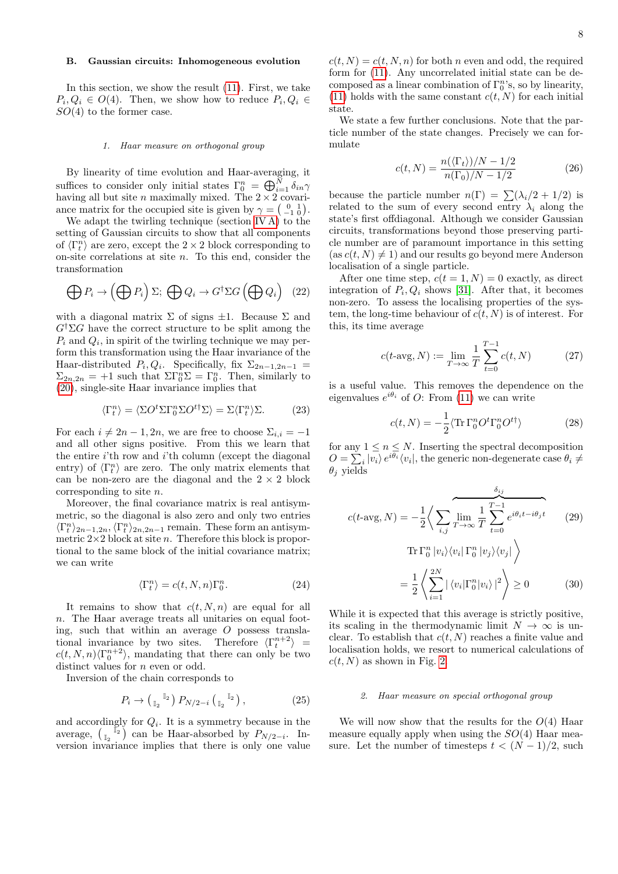# <span id="page-7-0"></span>B. Gaussian circuits: Inhomogeneous evolution

In this section, we show the result [\(11\)](#page-3-4). First, we take  $P_i, Q_i \in O(4)$ . Then, we show how to reduce  $P_i, Q_i \in$  $SO(4)$  to the former case.

#### <span id="page-7-1"></span>1. Haar measure on orthogonal group

By linearity of time evolution and Haar-averaging, it suffices to consider only initial states  $\Gamma_0^n = \bigoplus_{i=1}^N \delta_{in} \gamma$ having all but site *n* maximally mixed. The  $2 \times 2$  covariance matrix for the occupied site is given by  $\gamma = \begin{pmatrix} 0 & 1 \\ -1 & 0 \end{pmatrix}$ .

We adapt the twirling technique (section [IV A\)](#page-6-1) to the setting of Gaussian circuits to show that all components of  $\langle \Gamma_t^n \rangle$  are zero, except the  $2 \times 2$  block corresponding to on-site correlations at site  $n$ . To this end, consider the transformation

$$
\bigoplus P_i \to \left(\bigoplus P_i\right)\Sigma; \bigoplus Q_i \to G^{\dagger} \Sigma G \left(\bigoplus Q_i\right) \tag{22}
$$

with a diagonal matrix  $\Sigma$  of signs  $\pm 1$ . Because  $\Sigma$  and  $G^{\dagger} \Sigma G$  have the correct structure to be split among the  $P_i$  and  $Q_i$ , in spirit of the twirling technique we may perform this transformation using the Haar invariance of the Haar-distributed  $P_i, Q_i$ . Specifically, fix  $\Sigma_{2n-1,2n-1}$  =  $\Sigma_{2n,2n} = +1$  such that  $\Sigma \Gamma_0^n \Sigma = \Gamma_0^n$ . Then, similarly to [\(20\)](#page-6-4), single-site Haar invariance implies that

$$
\langle \Gamma_t^n \rangle = \langle \Sigma O^t \Sigma \Gamma_0^n \Sigma O^{t\dagger} \Sigma \rangle = \Sigma \langle \Gamma_t^n \rangle \Sigma. \tag{23}
$$

For each  $i \neq 2n - 1, 2n$ , we are free to choose  $\Sigma_{i,i} = -1$ and all other signs positive. From this we learn that the entire  $i$ <sup>th</sup> row and  $i$ <sup>th</sup> column (except the diagonal entry) of  $\langle \Gamma_t^n \rangle$  are zero. The only matrix elements that can be non-zero are the diagonal and the  $2 \times 2$  block corresponding to site n.

Moreover, the final covariance matrix is real antisymmetric, so the diagonal is also zero and only two entries  $\langle \Gamma_t^n \rangle_{2n-1,2n}, \langle \Gamma_t^n \rangle_{2n,2n-1}$  remain. These form an antisymmetric  $2\times 2$  block at site n. Therefore this block is proportional to the same block of the initial covariance matrix; we can write

$$
\langle \Gamma_t^n \rangle = c(t, N, n) \Gamma_0^n. \tag{24}
$$

It remains to show that  $c(t, N, n)$  are equal for all n. The Haar average treats all unitaries on equal footing, such that within an average  $O$  possess translational invariance by two sites. Therefore  $\langle \Gamma_t^{n+2} \rangle$  =  $c(t, N, n)\langle \Gamma_0^{n+2} \rangle$ , mandating that there can only be two distinct values for *n* even or odd.

Inversion of the chain corresponds to

$$
P_i \to \left(\begin{smallmatrix} \mathbb{I}_2 \\ \mathbb{I}_2 \end{smallmatrix}\right) P_{N/2-i} \left(\begin{smallmatrix} \mathbb{I}_2 \\ \mathbb{I}_2 \end{smallmatrix}\right), \tag{25}
$$

and accordingly for  $Q_i$ . It is a symmetry because in the average,  $\begin{pmatrix} 1 & 1 \\ 1 & 2 \end{pmatrix}$  can be Haar-absorbed by  $P_{N/2-i}$ . Inversion invariance implies that there is only one value  $c(t, N) = c(t, N, n)$  for both n even and odd, the required form for [\(11\)](#page-3-4). Any uncorrelated initial state can be decomposed as a linear combination of  $\Gamma_0^n$ 's, so by linearity, [\(11\)](#page-3-4) holds with the same constant  $c(t, N)$  for each initial state.

We state a few further conclusions. Note that the particle number of the state changes. Precisely we can formulate

$$
c(t, N) = \frac{n(\langle \Gamma_t \rangle)/N - 1/2}{n(\Gamma_0)/N - 1/2} \tag{26}
$$

because the particle number  $n(\Gamma) = \sum_{i}(\lambda_i/2 + 1/2)$  is related to the sum of every second entry  $\lambda_i$  along the state's first offdiagonal. Although we consider Gaussian circuits, transformations beyond those preserving particle number are of paramount importance in this setting  $(\text{as } c(t, N) \neq 1)$  and our results go beyond mere Anderson localisation of a single particle.

After one time step,  $c(t = 1, N) = 0$  exactly, as direct integration of  $P_i, Q_i$  shows [\[31\]](#page-16-1). After that, it becomes non-zero. To assess the localising properties of the system, the long-time behaviour of  $c(t, N)$  is of interest. For this, its time average

$$
c(t \text{-avg}, N) := \lim_{T \to \infty} \frac{1}{T} \sum_{t=0}^{T-1} c(t, N) \tag{27}
$$

is a useful value. This removes the dependence on the eigenvalues  $e^{i\theta_i}$  of O: From [\(11\)](#page-3-4) we can write

<span id="page-7-3"></span>
$$
c(t, N) = -\frac{1}{2} \langle \text{Tr} \,\Gamma_0^n O^t \Gamma_0^n O^{t\dagger} \rangle \tag{28}
$$

for any  $1 \leq n \leq N$ . Inserting the spectral decomposition  $O = \sum_i |v_i\rangle e^{i\theta_i} \langle v_i|$ , the generic non-degenerate case  $\theta_i \neq$  $\theta_j$  yields

$$
c(t-\text{avg}, N) = -\frac{1}{2} \Big\langle \sum_{i,j} \overbrace{\lim_{T \to \infty}}^{\text{lim}} \frac{1}{T} \sum_{t=0}^{T-1} e^{i\theta_i t - i\theta_j t} \qquad (29)
$$

$$
\text{Tr } \Gamma_0^n |v_i\rangle\langle v_i | \Gamma_0^n |v_j\rangle\langle v_j | \Big\rangle
$$

$$
= \frac{1}{2} \Big\langle \sum_{i=1}^{2N} |\langle v_i | \Gamma_0^n | v_i \rangle|^2 \Big\rangle \ge 0 \qquad (30)
$$

While it is expected that this average is strictly positive, its scaling in the thermodynamic limit  $N \to \infty$  is unclear. To establish that  $c(t, N)$  reaches a finite value and localisation holds, we resort to numerical calculations of  $c(t, N)$  as shown in Fig. [2.](#page-4-3)

# <span id="page-7-2"></span>2. Haar measure on special orthogonal group

We will now show that the results for the  $O(4)$  Haar measure equally apply when using the  $SO(4)$  Haar measure. Let the number of timesteps  $t < (N-1)/2$ , such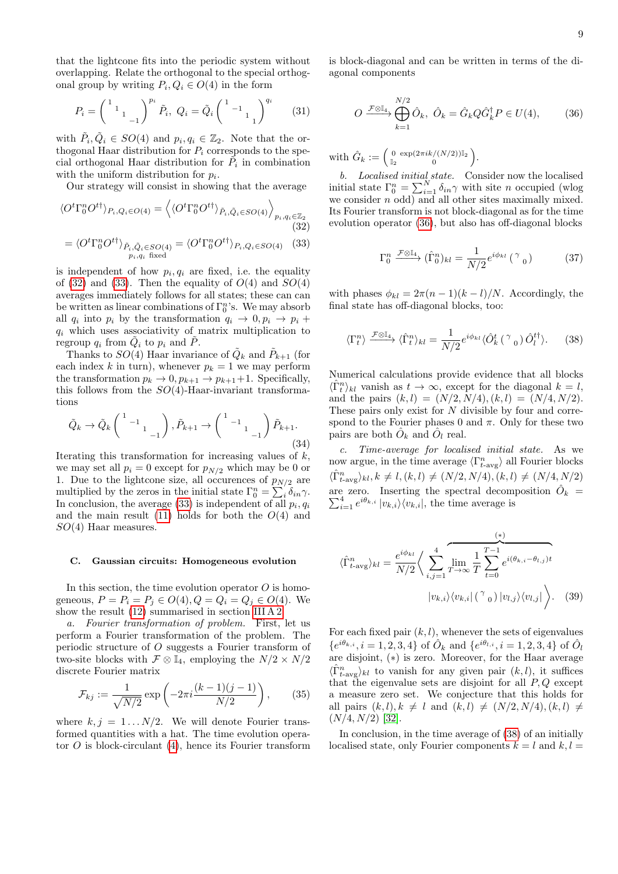that the lightcone fits into the periodic system without overlapping. Relate the orthogonal to the special orthogonal group by writing  $P_i, Q_i \in O(4)$  in the form

$$
P_i = \begin{pmatrix} 1 & 1 & 1 \\ 1 & 1 & 1 \\ 1 & -1 & 1 \end{pmatrix}^{p_i} \tilde{P}_i, \ Q_i = \tilde{Q}_i \begin{pmatrix} 1 & 1 & 1 \\ 1 & 1 & 1 \end{pmatrix}^{q_i} \tag{31}
$$

with  $\tilde{P}_i, \tilde{Q}_i \in SO(4)$  and  $p_i, q_i \in \mathbb{Z}_2$ . Note that the orthogonal Haar distribution for  $P_i$  corresponds to the special orthogonal Haar distribution for  $\tilde{P}_i$  in combination with the uniform distribution for  $p_i$ .

Our strategy will consist in showing that the average

$$
\langle O^t \Gamma_0^n O^{t\dagger} \rangle_{P_i, Q_i \in O(4)} = \langle \langle O^t \Gamma_0^n O^{t\dagger} \rangle_{\tilde{P}_i, \tilde{Q}_i \in SO(4)} \rangle_{p_i, q_i \in \mathbb{Z}_2}
$$
\n(32)

$$
= \langle O^t \Gamma_0^n O^{t\dagger} \rangle_{\tilde{P}_i, \tilde{Q}_i \in SO(4)} = \langle O^t \Gamma_0^n O^{t\dagger} \rangle_{P_i, Q_i \in SO(4)} \quad (33)
$$

is independent of how  $p_i, q_i$  are fixed, i.e. the equality of [\(32\)](#page-8-1) and [\(33\)](#page-8-2). Then the equality of  $O(4)$  and  $SO(4)$ averages immediately follows for all states; these can can be written as linear combinations of  $\Gamma_0^n$ 's. We may absorb all  $q_i$  into  $p_i$  by the transformation  $q_i \rightarrow 0, p_i \rightarrow p_i +$  $q_i$  which uses associativity of matrix multiplication to regroup  $q_i$  from  $\tilde{Q}_i$  to  $p_i$  and  $\tilde{P}$ .

Thanks to  $SO(4)$  Haar invariance of  $\tilde{Q}_k$  and  $\tilde{P}_{k+1}$  (for each index k in turn), whenever  $p_k = 1$  we may perform the transformation  $p_k \to 0$ ,  $p_{k+1} \to p_{k+1}+1$ . Specifically, this follows from the  $SO(4)$ -Haar-invariant transformations

$$
\tilde{Q}_k \to \tilde{Q}_k \begin{pmatrix} 1 & 1 & 1 \\ & 1 & 1 \\ & & -1 \end{pmatrix}, \tilde{P}_{k+1} \to \begin{pmatrix} 1 & 1 & 1 \\ & 1 & 1 \\ & & -1 \end{pmatrix} \tilde{P}_{k+1}.
$$
\n(34)

Iterating this transformation for increasing values of k, we may set all  $p_i = 0$  except for  $p_{N/2}$  which may be 0 or 1. Due to the lightcone size, all occurences of  $p_{N/2}$  are multiplied by the zeros in the initial state  $\Gamma_0^n = \sum_i \delta_{in} \gamma$ . In conclusion, the average  $(33)$  is independent of all  $p_i, q_i$ and the main result  $(11)$  holds for both the  $O(4)$  and  $SO(4)$  Haar measures.

#### <span id="page-8-0"></span>C. Gaussian circuits: Homogeneous evolution

In this section, the time evolution operator  $O$  is homogeneous,  $P = P_i = P_j \in O(4), Q = Q_i = Q_j \in O(4)$ . We show the result [\(12\)](#page-4-4) summarised in section [III A 2.](#page-4-0)

a. Fourier transformation of problem. First, let us perform a Fourier transformation of the problem. The periodic structure of O suggests a Fourier transform of two-site blocks with  $\mathcal{F} \otimes \mathbb{I}_4$ , employing the  $N/2 \times N/2$ discrete Fourier matrix

$$
\mathcal{F}_{kj} := \frac{1}{\sqrt{N/2}} \exp\left(-2\pi i \frac{(k-1)(j-1)}{N/2}\right),\qquad(35)
$$

where  $k, j = 1...N/2$ . We will denote Fourier transformed quantities with a hat. The time evolution operator  $O$  is block-circulant [\(4\)](#page-2-2), hence its Fourier transform is block-diagonal and can be written in terms of the diagonal components

<span id="page-8-3"></span>
$$
O \xrightarrow{\mathcal{F}\otimes \mathbb{I}_4} \bigoplus_{k=1}^{N/2} \hat{O}_k, \ \hat{O}_k = \hat{G}_k Q \hat{G}_k^{\dagger} P \in U(4), \tag{36}
$$

with  $\hat{G}_k := \begin{pmatrix} 0 & \exp(2\pi i k/(N/2))\mathbb{I}_2 \\ \mathbb{I}_2 & 0 \end{pmatrix}$  $\frac{0}{\mathbb{I}_2} \frac{\exp(2\pi i k/(N/2))\mathbb{I}_2}{0}$ .

<span id="page-8-1"></span>b. Localised initial state. Consider now the localised initial state  $\Gamma_0^n = \sum_{i=1}^N \delta_{in} \gamma$  with site n occupied (wlog we consider  $n$  odd) and all other sites maximally mixed. Its Fourier transform is not block-diagonal as for the time evolution operator [\(36\)](#page-8-3), but also has off-diagonal blocks

$$
\Gamma_0^n \xrightarrow{\mathcal{F}\otimes\mathbb{I}_4} (\hat{\Gamma}_0^n)_{kl} = \frac{1}{N/2} e^{i\phi_{kl}} \left( \begin{array}{c} \gamma \\ 0 \end{array} \right) \tag{37}
$$

<span id="page-8-2"></span>with phases  $\phi_{kl} = 2\pi (n-1)(k-l)/N$ . Accordingly, the final state has off-diagonal blocks, too:

<span id="page-8-4"></span>
$$
\langle \Gamma^n_t \rangle \xrightarrow{\mathcal{F} \otimes \mathbb{I}_4} \langle \hat{\Gamma}^n_t \rangle_{kl} = \frac{1}{N/2} e^{i\phi_{kl}} \langle \hat{O}_k^t \left( \begin{array}{c} \gamma \\ 0 \end{array} \right) \hat{O}_l^{t\dagger} \rangle. \tag{38}
$$

Numerical calculations provide evidence that all blocks  $\langle \hat{\Gamma}_t^n \rangle_{kl}$  vanish as  $t \to \infty$ , except for the diagonal  $k = l$ , and the pairs  $(k, l) = (N/2, N/4), (k, l) = (N/4, N/2).$ These pairs only exist for N divisible by four and correspond to the Fourier phases 0 and  $\pi$ . Only for these two pairs are both  $\hat{O}_k$  and  $\hat{O}_l$  real.

c. Time-average for localised initial state. As we now argue, in the time average  $\langle \Gamma_{t-\text{avg}}^n \rangle$  all Fourier blocks  $\langle \hat{\Gamma}_{t-\text{avg}}^n \rangle_{kl}, k \neq l, (k, l) \neq (N/2, N/4), (k, l) \neq (N/4, N/2)$ are zero. Inserting the spectral decomposition  $\hat{O}_k$  =  $\sum_{i=1}^4 e^{i\theta_{k,i}} |v_{k,i}\rangle \langle v_{k,i}|$ , the time average is

$$
\langle \hat{\Gamma}_{t-\text{avg}}^n \rangle_{kl} = \frac{e^{i\phi_{kl}}}{N/2} \Bigg\langle \sum_{i,j=1}^4 \overline{\lim_{T \to \infty} \frac{1}{T} \sum_{t=0}^{T-1} e^{i(\theta_{k,i} - \theta_{l,j})t}} \Bigg\rangle
$$

$$
|v_{k,i}\rangle \langle v_{k,i}| \left(\begin{array}{c} \gamma \\ 0 \end{array} \right) |v_{l,j}\rangle \langle v_{l,j}| \Bigg\rangle. \tag{39}
$$

For each fixed pair  $(k, l)$ , whenever the sets of eigenvalues  ${e}^{i\theta_{k,i}}, i = 1, 2, 3, 4$  of  $\hat{O}_k$  and  ${e}^{i\theta_{l,i}}, i = 1, 2, 3, 4$  of  $\hat{O}_l$ are disjoint, (∗) is zero. Moreover, for the Haar average  $\langle \hat{\Gamma}_{t-\text{avg}}^n \rangle_{kl}$  to vanish for any given pair  $(k, l)$ , it suffices that the eigenvalue sets are disjoint for all  $P, Q$  except a measure zero set. We conjecture that this holds for all pairs  $(k, l), k \neq l$  and  $(k, l) \neq (N/2, N/4), (k, l) \neq$  $(N/4, N/2)$  [\[32\]](#page-16-2).

In conclusion, in the time average of [\(38\)](#page-8-4) of an initially localised state, only Fourier components  $k = l$  and  $k, l =$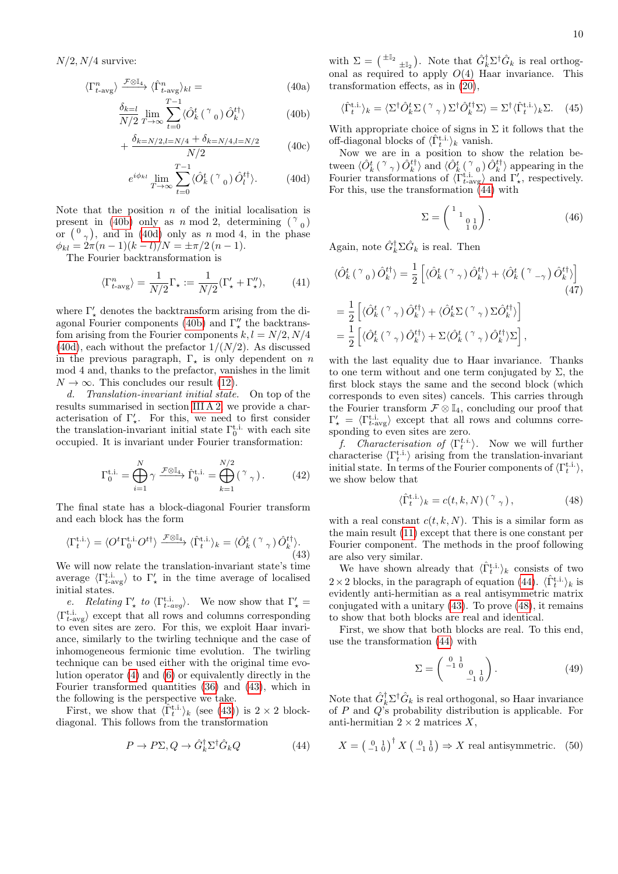$N/2$ ,  $N/4$  survive:

$$
\langle \Gamma_{t-\text{avg}}^n \rangle \xrightarrow{\mathcal{F} \otimes \mathbb{I}_4} \langle \hat{\Gamma}_{t-\text{avg}}^n \rangle_{kl} =
$$
\n(40a)

$$
\frac{\delta_{k=l}}{N/2} \lim_{T \to \infty} \sum_{t=0}^{T-1} \langle \hat{O}_k^t \left( \begin{array}{c} \gamma \\ 0 \end{array} \right) \hat{O}_k^{t\dagger} \rangle \tag{40b}
$$

$$
+\frac{\delta_{k=N/2,l=N/4} + \delta_{k=N/4,l=N/2}}{N/2}
$$
 (40c)

$$
e^{i\phi_{kl}} \lim_{T \to \infty} \sum_{t=0}^{T-1} \langle \hat{O}_k^t \left( \begin{array}{c} \gamma \\ 0 \end{array} \right) \hat{O}_l^{t\dagger} \rangle. \tag{40d}
$$

Note that the position  $n$  of the initial localisation is present in [\(40b\)](#page-9-0) only as n mod 2, determining  $({}^{\gamma}{}_{0})$ or  $\binom{0}{\gamma}$ , and in [\(40d\)](#page-9-1) only as n mod 4, in the phase  $\phi_{kl} = 2\pi (n-1)(k-l)/N = \pm \pi/2 (n-1).$ 

The Fourier backtransformation is

$$
\langle \Gamma_{t-\text{avg}}^n \rangle = \frac{1}{N/2} \Gamma_\star := \frac{1}{N/2} (\Gamma_\star' + \Gamma_\star''),\tag{41}
$$

where  $\Gamma_\star'$  denotes the backtransform arising from the di-agonal Fourier components [\(40b\)](#page-9-0) and  $\Gamma''_{\star}$  the backtransfom arising from the Fourier components  $k, l = N/2, N/4$  $(40d)$ , each without the prefactor  $1/(N/2)$ . As discussed in the previous paragraph,  $\Gamma_{\star}$  is only dependent on n mod 4 and, thanks to the prefactor, vanishes in the limit  $N \to \infty$ . This concludes our result [\(12\)](#page-4-4).

d. Translation-invariant initial state. On top of the results summarised in section [III A 2,](#page-4-0) we provide a characterisation of  $\Gamma'_*$ . For this, we need to first consider the translation-invariant initial state  $\Gamma_0^{\text{t.i.}}$  with each site occupied. It is invariant under Fourier transformation:

$$
\Gamma_0^{\text{t.i.}} = \bigoplus_{i=1}^N \gamma \xrightarrow{\mathcal{F} \otimes \mathbb{I}_4} \hat{\Gamma}_0^{\text{t.i.}} = \bigoplus_{k=1}^{N/2} (\gamma_\gamma). \tag{42}
$$

The final state has a block-diagonal Fourier transform and each block has the form

<span id="page-9-2"></span>
$$
\langle \Gamma_t^{\text{t.i.}} \rangle = \langle O^t \Gamma_0^{\text{t.i.}} O^{t\dagger} \rangle \xrightarrow{\mathcal{F} \otimes \mathbb{I}_4} \langle \hat{\Gamma}_t^{\text{t.i.}} \rangle_k = \langle \hat{O}_k^t \left( \begin{smallmatrix} \gamma & \\ & \gamma \end{smallmatrix} \right) \hat{O}_k^{t\dagger} \rangle. \tag{43}
$$

We will now relate the translation-invariant state's time average  $\langle \Gamma_{t-\text{avg}}^{\text{t.i.}} \rangle$  to  $\Gamma'_{\star}$  in the time average of localised initial states.

e. Relating  $\Gamma'_{\star}$  to  $\langle \Gamma_{t-avg}^{\text{t.i.}} \rangle$ . We now show that  $\Gamma'_{\star}$  =  $\langle \Gamma_{t-\text{avg}}^{\text{t.i.}} \rangle$  except that all rows and columns corresponding to even sites are zero. For this, we exploit Haar invariance, similarly to the twirling technique and the case of inhomogeneous fermionic time evolution. The twirling technique can be used either with the original time evolution operator [\(4\)](#page-2-2) and [\(6\)](#page-2-3) or equivalently directly in the Fourier transformed quantities [\(36\)](#page-8-3) and [\(43\)](#page-9-2), which in the following is the perspective we take.

First, we show that  $\langle \hat{\Gamma}^{\text{t.i.}}_t \rangle_k$  (see [\(43\)](#page-9-2)) is  $2 \times 2$  blockdiagonal. This follows from the transformation

<span id="page-9-3"></span>
$$
P \to P\Sigma, Q \to \hat{G}_k^{\dagger} \Sigma^{\dagger} \hat{G}_k Q \tag{44}
$$

with  $\Sigma = {\pm \mathbb{I}_2 \atop \pm \mathbb{I}_2}$ . Note that  $\hat{G}_k^{\dagger} \Sigma^{\dagger} \hat{G}_k$  is real orthogonal as required to apply  $O(4)$  Haar invariance. This transformation effects, as in [\(20\)](#page-6-4),

<span id="page-9-5"></span>
$$
\langle \hat{\Gamma}^{\text{t.i.}}_t \rangle_k = \langle \Sigma^{\dagger} \hat{O}_k^t \Sigma \left( \begin{array}{c} \gamma \\ \gamma \end{array} \right) \Sigma^{\dagger} \hat{O}_k^{t \dagger} \Sigma \rangle = \Sigma^{\dagger} \langle \hat{\Gamma}^{\text{t.i.}}_t \rangle_k \Sigma. \tag{45}
$$

<span id="page-9-0"></span>With appropriate choice of signs in  $\Sigma$  it follows that the off-diagonal blocks of  $\langle \hat{\Gamma}_t^{\text{t.i.}} \rangle_k$  vanish.

<span id="page-9-1"></span>Now we are in a position to show the relation between  $\langle \hat{O}_k^t$  ( $\gamma \rangle \hat{O}_k^{t\dagger}$ ) and  $\langle \hat{O}_k^t$  ( $\gamma \rangle$ <sub>0</sub>)  $\hat{O}_k^{t\dagger}$ ) appearing in the Fourier transformations of  $\langle \tilde{\Gamma}_{t-\text{avg}}^{t.i.} \rangle$  and  $\Gamma'_{\star}$ , respectively. For this, use the transformation [\(44\)](#page-9-3) with

$$
\Sigma = \begin{pmatrix} 1 & 1 \\ 1 & 0 & 1 \\ 1 & 0 & 0 \end{pmatrix} . \tag{46}
$$

Again, note  $\hat{G}_k^{\dagger} \Sigma \hat{G}_k$  is real. Then

$$
\langle \hat{O}_{k}^{t} \left( \begin{array}{c} \gamma_{0} \end{array} \right) \hat{O}_{k}^{t\dagger} \rangle = \frac{1}{2} \left[ \langle \hat{O}_{k}^{t} \left( \begin{array}{c} \gamma_{\gamma} \end{array} \right) \hat{O}_{k}^{t\dagger} \rangle + \langle \hat{O}_{k}^{t} \left( \begin{array}{c} \gamma_{-\gamma} \end{array} \right) \hat{O}_{k}^{t\dagger} \rangle \right] \n= \frac{1}{2} \left[ \langle \hat{O}_{k}^{t} \left( \begin{array}{c} \gamma_{\gamma} \end{array} \right) \hat{O}_{k}^{t\dagger} \rangle + \langle \hat{O}_{k}^{t} \Sigma \left( \begin{array}{c} \gamma_{\gamma} \end{array} \right) \Sigma \hat{O}_{k}^{t\dagger} \rangle \right] \n= \frac{1}{2} \left[ \langle \hat{O}_{k}^{t} \left( \begin{array}{c} \gamma_{\gamma} \end{array} \right) \hat{O}_{k}^{t\dagger} \rangle + \Sigma \langle \hat{O}_{k}^{t} \left( \begin{array}{c} \gamma_{\gamma} \end{array} \right) \hat{O}_{k}^{t\dagger} \rangle \Sigma \right],
$$

with the last equality due to Haar invariance. Thanks to one term without and one term conjugated by  $\Sigma$ , the first block stays the same and the second block (which corresponds to even sites) cancels. This carries through the Fourier transform  $\mathcal{F} \otimes \mathbb{I}_4$ , concluding our proof that  $\Gamma'_{\star} = \langle \Gamma_{t-\text{avg}}^{\text{t.i.}} \rangle$  except that all rows and columns corresponding to even sites are zero.

f. Characterisation of  $\langle \Gamma_t^{t.i.} \rangle$ . Now we will further characterise  $\langle \Gamma_t^{\text{t.i.}} \rangle$  arising from the translation-invariant initial state. In terms of the Fourier components of  $\langle \Gamma_t^{\text{t.i.}} \rangle$ , we show below that

<span id="page-9-4"></span>
$$
\langle \hat{\Gamma}_t^{\text{t.i.}} \rangle_k = c(t, k, N) \left( \begin{array}{c} \gamma \\ \gamma \end{array} \right), \tag{48}
$$

with a real constant  $c(t, k, N)$ . This is a similar form as the main result [\(11\)](#page-3-4) except that there is one constant per Fourier component. The methods in the proof following are also very similar.

We have shown already that  $\langle \hat{\Gamma}^{t,i.}_{t} \rangle_k$  consists of two  $2 \times 2$  blocks, in the paragraph of equation [\(44\)](#page-9-3).  $\langle \hat{\Gamma}_t^{\text{t.i.}} \rangle_k$  is evidently anti-hermitian as a real antisymmetric matrix conjugated with a unitary [\(43\)](#page-9-2). To prove [\(48\)](#page-9-4), it remains to show that both blocks are real and identical.

First, we show that both blocks are real. To this end, use the transformation [\(44\)](#page-9-3) with

$$
\Sigma = \begin{pmatrix} 0 & 1 \\ -1 & 0 \\ 0 & 1 \\ -1 & 0 \end{pmatrix} . \tag{49}
$$

Note that  $\hat{G}_k^{\dagger} \Sigma^{\dagger} \hat{G}_k$  is real orthogonal, so Haar invariance of  $P$  and  $Q$ 's probability distribution is applicable. For anti-hermitian  $2 \times 2$  matrices X,

$$
X = \left(\begin{smallmatrix} 0 & 1 \\ -1 & 0 \end{smallmatrix}\right)^{\dagger} X \left(\begin{smallmatrix} 0 & 1 \\ -1 & 0 \end{smallmatrix}\right) \Rightarrow X \text{ real antisymmetric. (50)}
$$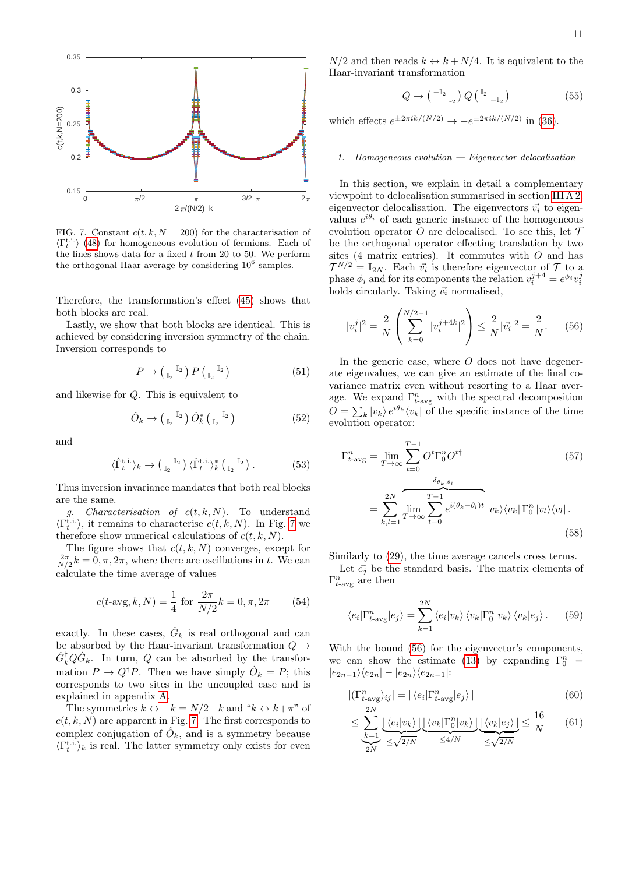

<span id="page-10-1"></span>FIG. 7. Constant  $c(t, k, N = 200)$  for the characterisation of  $\langle \Gamma_t^{\text{t.i.}} \rangle$  [\(48\)](#page-9-4) for homogeneous evolution of fermions. Each of the lines shows data for a fixed  $t$  from 20 to 50. We perform the orthogonal Haar average by considering  $10^6$  samples.

Therefore, the transformation's effect [\(45\)](#page-9-5) shows that both blocks are real.

Lastly, we show that both blocks are identical. This is achieved by considering inversion symmetry of the chain. Inversion corresponds to

$$
P \to \left(\begin{smallmatrix} \mathbb{I}_2 \\ \mathbb{I}_2 \end{smallmatrix}\right) P \left(\begin{smallmatrix} \mathbb{I}_2 \\ \mathbb{I}_2 \end{smallmatrix}\right) \tag{51}
$$

and likewise for Q. This is equivalent to

$$
\hat{O}_k \to \left(\begin{smallmatrix} \mathbb{I}_2 \\ \mathbb{I}_2 \end{smallmatrix}\right) \hat{O}_k^* \left(\begin{smallmatrix} \mathbb{I}_2 \\ \mathbb{I}_2 \end{smallmatrix}\right) \tag{52}
$$

and

$$
\langle \hat{\Gamma}_t^{\text{t.i.}} \rangle_k \to \left( \begin{smallmatrix} \mathbb{I}_2 \\ \mathbb{I}_2 \end{smallmatrix} \right) \langle \hat{\Gamma}_t^{\text{t.i.}} \rangle_k^* \left( \begin{smallmatrix} \mathbb{I}_2 \\ \mathbb{I}_2 \end{smallmatrix} \right). \tag{53}
$$

Thus inversion invariance mandates that both real blocks are the same.

g. *Characterisation of*  $c(t, k, N)$ *.* To understand  $\langle \Gamma_t^{\text{t.i.}} \rangle$ , it remains to characterise  $c(t, k, N)$ . In Fig. [7](#page-10-1) we therefore show numerical calculations of  $c(t, k, N)$ .

The figure shows that  $c(t, k, N)$  converges, except for  $\frac{2\pi}{N/2}k = 0, \pi, 2\pi$ , where there are oscillations in t. We can calculate the time average of values

<span id="page-10-3"></span>
$$
c(t\text{-avg}, k, N) = \frac{1}{4} \text{ for } \frac{2\pi}{N/2}k = 0, \pi, 2\pi \quad (54)
$$

exactly. In these cases,  $\hat{G}_k$  is real orthogonal and can be absorbed by the Haar-invariant transformation  $Q \rightarrow$  $\hat{G}_{k}^{\dagger}Q\hat{G}_{k}$ . In turn, Q can be absorbed by the transformation  $P \to Q^{\dagger} P$ . Then we have simply  $\hat{O}_k = P$ ; this corresponds to two sites in the uncoupled case and is explained in appendix [A.](#page-14-0)

The symmetries  $k \leftrightarrow -k = N/2-k$  and " $k \leftrightarrow k+\pi$ " of  $c(t, k, N)$  are apparent in Fig. [7.](#page-10-1) The first corresponds to complex conjugation of  $\hat{O}_k$ , and is a symmetry because  $\langle \Gamma_t^{\text{t.i.}} \rangle_k$  is real. The latter symmetry only exists for even

 $N/2$  and then reads  $k \leftrightarrow k + N/4$ . It is equivalent to the Haar-invariant transformation

$$
Q \to \left( \begin{smallmatrix} -\mathbb{I}_2 \\ & \mathbb{I}_2 \end{smallmatrix} \right) Q \left( \begin{smallmatrix} \mathbb{I}_2 \\ & -\mathbb{I}_2 \end{smallmatrix} \right) \tag{55}
$$

which effects  $e^{\pm 2\pi i k/(N/2)} \rightarrow -e^{\pm 2\pi i k/(N/2)}$  in [\(36\)](#page-8-3).

# <span id="page-10-0"></span>1. Homogeneous evolution — Eigenvector delocalisation

In this section, we explain in detail a complementary viewpoint to delocalisation summarised in section [III A 2,](#page-4-0) eigenvector delocalisation. The eigenvectors  $\vec{v}_i$  to eigenvalues  $e^{i\theta_i}$  of each generic instance of the homogeneous evolution operator  $O$  are delocalised. To see this, let  $\mathcal T$ be the orthogonal operator effecting translation by two sites (4 matrix entries). It commutes with  $O$  and has  $\mathcal{T}^{N/2} = \mathbb{I}_{2N}$ . Each  $\vec{v_i}$  is therefore eigenvector of  $\mathcal T$  to a phase  $\phi_i$  and for its components the relation  $v_i^{j+4} = e^{\phi_i} v_i^j$ holds circularly. Taking  $\vec{v}_i$  normalised,

<span id="page-10-2"></span>
$$
|v_i^j|^2 = \frac{2}{N} \left( \sum_{k=0}^{N/2 - 1} |v_i^{j+4k}|^2 \right) \le \frac{2}{N} |\vec{v_i}|^2 = \frac{2}{N}.
$$
 (56)

In the generic case, where  $O$  does not have degenerate eigenvalues, we can give an estimate of the final covariance matrix even without resorting to a Haar average. We expand  $\Gamma_{t\text{-avg}}^n$  with the spectral decomposition  $O = \sum_{k} |v_k\rangle e^{i\theta_k} \langle v_k|$  of the specific instance of the time evolution operator:

$$
\Gamma_{t\text{-avg}}^{n} = \lim_{T \to \infty} \sum_{t=0}^{T-1} O^{t} \Gamma_{0}^{n} O^{t\dagger}
$$
\n
$$
= \sum_{k,l=1}^{2N} \overbrace{\lim_{T \to \infty} \sum_{t=0}^{T-1} e^{i(\theta_{k} - \theta_{l})t} |v_{k}\rangle \langle v_{k}| \Gamma_{0}^{n} |v_{l}\rangle \langle v_{l}|.}
$$
\n(58)

Similarly to [\(29\)](#page-7-3), the time average cancels cross terms.

Let  $\vec{e}_j$  be the standard basis. The matrix elements of  $\Gamma^n_{t\text{-avg}}$  are then

$$
\langle e_i | \Gamma_{t-\text{avg}}^n | e_j \rangle = \sum_{k=1}^{2N} \langle e_i | v_k \rangle \langle v_k | \Gamma_0^n | v_k \rangle \langle v_k | e_j \rangle. \tag{59}
$$

With the bound [\(56\)](#page-10-2) for the eigenvector's components, we can show the estimate [\(13\)](#page-4-6) by expanding  $\Gamma_0^n$  =  $|e_{2n-1}\rangle\langle e_{2n}| - |e_{2n}\rangle\langle e_{2n-1}|$ :

$$
|(\Gamma_{t-\text{avg}}^n)_{ij}| = |\langle e_i | \Gamma_{t-\text{avg}}^n | e_j \rangle|
$$
\n(60)

$$
\leq \sum_{k=1}^{2N} \underbrace{\lfloor \langle e_i | v_k \rangle \rfloor \lfloor \langle v_k | \Gamma_0^n | v_k \rangle \rfloor}_{2N} \underbrace{\lfloor \langle v_k | e_j \rangle \rfloor}_{\leq 4/N} \leq \frac{16}{N} \qquad (61)
$$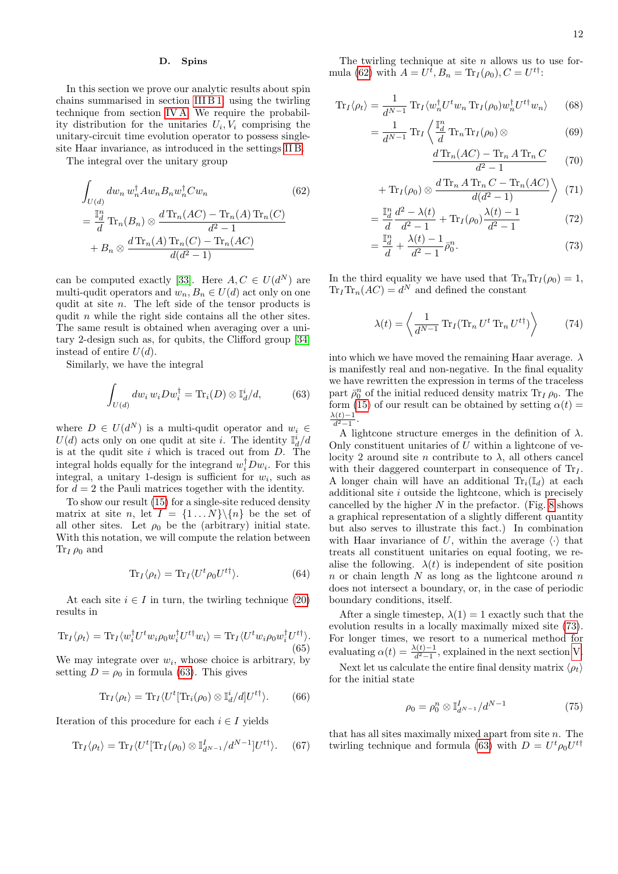# <span id="page-11-0"></span>D. Spins

In this section we prove our analytic results about spin chains summarised in section [III B 1,](#page-4-2) using the twirling technique from section [IV A.](#page-6-1) We require the probability distribution for the unitaries  $U_i, V_i$  comprising the unitary-circuit time evolution operator to possess singlesite Haar invariance, as introduced in the settings [II B.](#page-3-0)

The integral over the unitary group

$$
\int_{U(d)} dw_n w_n^{\dagger} A w_n B_n w_n^{\dagger} C w_n
$$
\n
$$
= \frac{\mathbb{I}_d^n}{d} \text{Tr}_n(B_n) \otimes \frac{d \text{Tr}_n(AC) - \text{Tr}_n(A) \text{Tr}_n(C)}{d^2 - 1}
$$
\n
$$
+ B_n \otimes \frac{d \text{Tr}_n(A) \text{Tr}_n(C) - \text{Tr}_n(AC)}{d(d^2 - 1)}
$$
\n(62)

can be computed exactly [\[33\]](#page-16-3). Here  $A, C \in U(d^N)$  are multi-qudit operators and  $w_n, B_n \in U(d)$  act only on one qudit at site n. The left side of the tensor products is qudit n while the right side contains all the other sites. The same result is obtained when averaging over a unitary 2-design such as, for qubits, the Clifford group [\[34\]](#page-16-4) instead of entire  $U(d)$ .

Similarly, we have the integral

<span id="page-11-1"></span>
$$
\int_{U(d)} dw_i w_i D w_i^{\dagger} = \text{Tr}_i(D) \otimes \mathbb{I}_d^i / d, \tag{63}
$$

where  $D \in U(d^N)$  is a multi-qudit operator and  $w_i \in$  $U(d)$  acts only on one qudit at site *i*. The identity  $\mathbb{I}_d^i/d$ is at the qudit site  $i$  which is traced out from  $D$ . The integral holds equally for the integrand  $w_i^{\dagger} D w_i$ . For this integral, a unitary 1-design is sufficient for  $w_i$ , such as for  $d = 2$  the Pauli matrices together with the identity.

To show our result [\(15\)](#page-4-5) for a single-site reduced density matrix at site n, let  $I = \{1...N\}\{\{n\}$  be the set of all other sites. Let  $\rho_0$  be the (arbitrary) initial state. With this notation, we will compute the relation between  $\text{Tr}_I \rho_0$  and

$$
\operatorname{Tr}_{I}\langle\rho_{t}\rangle = \operatorname{Tr}_{I}\langle U^{t}\rho_{0}U^{t\dagger}\rangle. \tag{64}
$$

At each site  $i \in I$  in turn, the twirling technique [\(20\)](#page-6-4) results in

$$
\text{Tr}_I \langle \rho_t \rangle = \text{Tr}_I \langle w_i^\dagger U^t w_i \rho_0 w_i^\dagger U^{t\dagger} w_i \rangle = \text{Tr}_I \langle U^t w_i \rho_0 w_i^\dagger U^{t\dagger} \rangle.
$$
\n(65)

We may integrate over  $w_i$ , whose choice is arbitrary, by setting  $D = \rho_0$  in formula [\(63\)](#page-11-1). This gives

$$
\text{Tr}_I \langle \rho_t \rangle = \text{Tr}_I \langle U^t[\text{Tr}_i(\rho_0) \otimes \mathbb{I}_d^i / d] U^{t\dagger} \rangle. \tag{66}
$$

Iteration of this procedure for each  $i \in I$  yields

$$
\operatorname{Tr}_{I}\langle\rho_{t}\rangle = \operatorname{Tr}_{I}\langle U^{t}[\operatorname{Tr}_{I}(\rho_{0})\otimes \mathbb{I}_{d^{N-1}}^{I}/d^{N-1}]U^{t\dagger}\rangle. \quad (67)
$$

The twirling technique at site  $n$  allows us to use for-mula [\(62\)](#page-11-2) with  $A = U^{\bar{t}}, B_n = \text{Tr}_I(\rho_0), C = U^{t\bar{t}}$ :

$$
\text{Tr}_I \langle \rho_t \rangle = \frac{1}{d^{N-1}} \text{Tr}_I \langle w_n^{\dagger} U^t w_n \text{Tr}_I(\rho_0) w_n^{\dagger} U^{t \dagger} w_n \rangle \qquad (68)
$$

$$
=\frac{1}{d^{N-1}}\operatorname{Tr}_{I}\left\langle \frac{\mathbb{I}_{d}^{n}}{d}\operatorname{Tr}_{n}\operatorname{Tr}_{I}(\rho_{0})\otimes\right\vert
$$
 (69)

<span id="page-11-4"></span><span id="page-11-3"></span>
$$
\frac{d \operatorname{Tr}_n(AC) - \operatorname{Tr}_n A \operatorname{Tr}_n C}{d^2 - 1} \tag{70}
$$

$$
+\operatorname{Tr}_{I}(\rho_0) \otimes \frac{d \operatorname{Tr}_{n} A \operatorname{Tr}_{n} C - \operatorname{Tr}_{n} (AC)}{d(d^{2} - 1)} \tag{71}
$$

<span id="page-11-2"></span>
$$
= \frac{\mathbb{I}_d^n}{d} \frac{d^2 - \lambda(t)}{d^2 - 1} + \text{Tr}_I(\rho_0) \frac{\lambda(t) - 1}{d^2 - 1}
$$
 (72)

$$
= \frac{\mathbb{I}_d^n}{d} + \frac{\lambda(t) - 1}{d^2 - 1} \bar{\rho}_0^n.
$$
 (73)

In the third equality we have used that  $\text{Tr}_n \text{Tr}_I(\rho_0) = 1$ ,  $\text{Tr}_I \text{Tr}_n(AC) = d^N$  and defined the constant

<span id="page-11-5"></span>
$$
\lambda(t) = \left\langle \frac{1}{d^{N-1}} \operatorname{Tr}_I(\operatorname{Tr}_n U^t \operatorname{Tr}_n U^{t\dagger}) \right\rangle \tag{74}
$$

into which we have moved the remaining Haar average.  $\lambda$ is manifestly real and non-negative. In the final equality we have rewritten the expression in terms of the traceless part  $\bar{\rho}_0^n$  of the initial reduced density matrix  $\text{Tr}_I \rho_0$ . The form [\(15\)](#page-4-5) of our result can be obtained by setting  $\alpha(t) =$  $\frac{\lambda(t)-1}{d^2-1}.$ 

A lightcone structure emerges in the definition of  $\lambda$ . Only constituent unitaries of  $U$  within a lightcone of velocity 2 around site *n* contribute to  $\lambda$ , all others cancel with their daggered counterpart in consequence of  $Tr<sub>I</sub>$ . A longer chain will have an additional  $\text{Tr}_{i}(\mathbb{I}_{d})$  at each additional site  $i$  outside the lightcone, which is precisely cancelled by the higher  $N$  in the prefactor. (Fig. [8](#page-12-1) shows a graphical representation of a slightly different quantity but also serves to illustrate this fact.) In combination with Haar invariance of U, within the average  $\langle \cdot \rangle$  that treats all constituent unitaries on equal footing, we realise the following.  $\lambda(t)$  is independent of site position n or chain length  $N$  as long as the lightcone around  $n$ does not intersect a boundary, or, in the case of periodic boundary conditions, itself.

After a single timestep,  $\lambda(1) = 1$  exactly such that the evolution results in a locally maximally mixed site [\(73\)](#page-11-3). For longer times, we resort to a numerical method for evaluating  $\alpha(t) = \frac{\lambda(t)-1}{d^2-1}$ , explained in the next section [V.](#page-12-0)

Next let us calculate the entire final density matrix  $\langle \rho_t \rangle$ for the initial state

$$
\rho_0 = \rho_0^n \otimes \mathbb{I}_{d^{N-1}}^I / d^{N-1}
$$
\n(75)

that has all sites maximally mixed apart from site  $n$ . The twirling technique and formula [\(63\)](#page-11-1) with  $D = U^t \rho_0 U^{t\dagger}$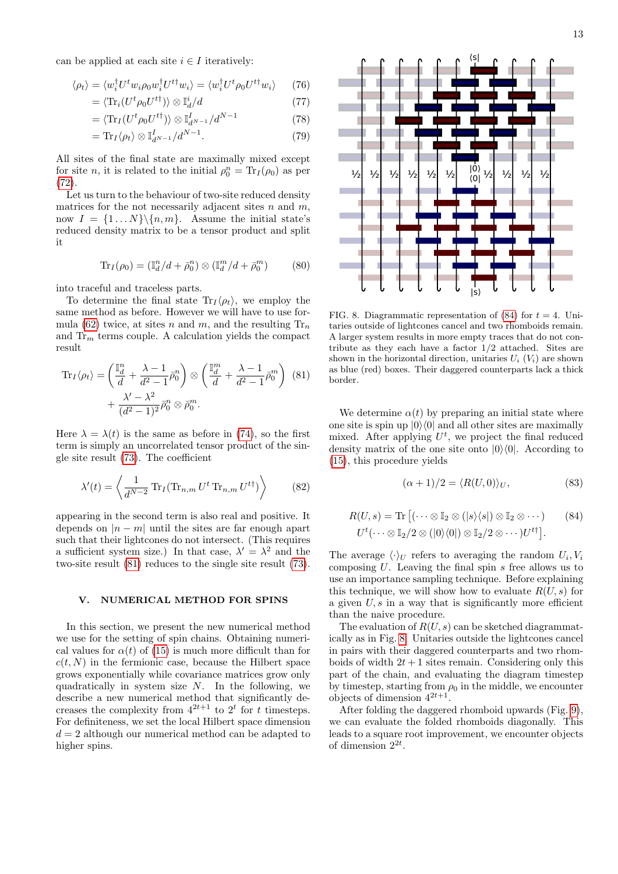can be applied at each site  $i \in I$  iteratively:

$$
\langle \rho_t \rangle = \langle w_i^\dagger U^t w_i \rho_0 w_i^\dagger U^{t\dagger} w_i \rangle = \langle w_i^\dagger U^t \rho_0 U^{t\dagger} w_i \rangle \qquad (76)
$$

$$
= \langle \text{Tr}_i(U^t \rho_0 U^{t\dagger}) \rangle \otimes \mathbb{I}_d^i / d \tag{77}
$$

$$
= \langle \text{Tr}_I(U^t \rho_0 U^{t\dagger}) \rangle \otimes \mathbb{I}_{d^{N-1}}^I / d^{N-1} \tag{78}
$$

$$
= \text{Tr}_I \langle \rho_t \rangle \otimes \mathbb{I}_{d^{N-1}}^I / d^{N-1}.
$$
 (79)

All sites of the final state are maximally mixed except for site *n*, it is related to the initial  $\rho_0^n = \text{Tr}_I(\rho_0)$  as per [\(72\)](#page-11-4).

Let us turn to the behaviour of two-site reduced density matrices for the not necessarily adjacent sites  $n$  and  $m$ , now  $I = \{1...N\} \backslash \{n, m\}.$  Assume the initial state's reduced density matrix to be a tensor product and split it

$$
\text{Tr}_I(\rho_0) = (\mathbb{I}_d^n/d + \bar{\rho}_0^n) \otimes (\mathbb{I}_d^m/d + \bar{\rho}_0^m)
$$
 (80)

into traceful and traceless parts.

To determine the final state  $\text{Tr}_I(\rho_t)$ , we employ the same method as before. However we will have to use for-mula [\(62\)](#page-11-2) twice, at sites n and m, and the resulting  $\text{Tr}_n$ and  $\text{Tr}_{m}$  terms couple. A calculation yields the compact result

$$
\operatorname{Tr}_{I}\langle\rho_{t}\rangle = \left(\frac{\mathbb{I}_{d}^{n}}{d} + \frac{\lambda - 1}{d^{2} - 1}\bar{\rho}_{0}^{n}\right) \otimes \left(\frac{\mathbb{I}_{d}^{m}}{d} + \frac{\lambda - 1}{d^{2} - 1}\bar{\rho}_{0}^{m}\right)
$$
\n
$$
+ \frac{\lambda' - \lambda^{2}}{(d^{2} - 1)^{2}}\bar{\rho}_{0}^{n} \otimes \bar{\rho}_{0}^{m}.
$$
\n(81)

Here  $\lambda = \lambda(t)$  is the same as before in [\(74\)](#page-11-5), so the first term is simply an uncorrelated tensor product of the single site result [\(73\)](#page-11-3). The coefficient

$$
\lambda'(t) = \left\langle \frac{1}{d^{N-2}} \operatorname{Tr}_I(\operatorname{Tr}_{n,m} U^t \operatorname{Tr}_{n,m} U^{t\dagger}) \right\rangle \tag{82}
$$

appearing in the second term is also real and positive. It depends on  $|n - m|$  until the sites are far enough apart such that their lightcones do not intersect. (This requires a sufficient system size.) In that case,  $\lambda' = \lambda^2$  and the two-site result [\(81\)](#page-12-2) reduces to the single site result [\(73\)](#page-11-3).

# <span id="page-12-0"></span>V. NUMERICAL METHOD FOR SPINS

In this section, we present the new numerical method we use for the setting of spin chains. Obtaining numerical values for  $\alpha(t)$  of [\(15\)](#page-4-5) is much more difficult than for  $c(t, N)$  in the fermionic case, because the Hilbert space grows exponentially while covariance matrices grow only quadratically in system size  $N$ . In the following, we describe a new numerical method that significantly decreases the complexity from  $4^{2t+1}$  to  $2^t$  for t timesteps. For definiteness, we set the local Hilbert space dimension  $d = 2$  although our numerical method can be adapted to higher spins.



<span id="page-12-1"></span>FIG. 8. Diagrammatic representation of [\(84\)](#page-12-3) for  $t = 4$ . Unitaries outside of lightcones cancel and two rhomboids remain. A larger system results in more empty traces that do not contribute as they each have a factor 1/2 attached. Sites are shown in the horizontal direction, unitaries  $U_i$  ( $V_i$ ) are shown as blue (red) boxes. Their daggered counterparts lack a thick border.

<span id="page-12-2"></span>We determine  $\alpha(t)$  by preparing an initial state where one site is spin up  $|0\rangle\langle 0|$  and all other sites are maximally mixed. After applying  $U^t$ , we project the final reduced density matrix of the one site onto  $|0\rangle\langle0|$ . According to [\(15\)](#page-4-5), this procedure yields

<span id="page-12-3"></span>
$$
(\alpha + 1)/2 = \langle R(U, 0) \rangle_U, \tag{83}
$$

$$
R(U, s) = \text{Tr}\left[ (\cdots \otimes \mathbb{I}_2 \otimes (|s\rangle\langle s|) \otimes \mathbb{I}_2 \otimes \cdots )\right] \qquad (84)
$$
  

$$
U^t (\cdots \otimes \mathbb{I}_2/2 \otimes (|0\rangle\langle 0|) \otimes \mathbb{I}_2/2 \otimes \cdots) U^{t\dagger} \right].
$$

The average  $\langle \cdot \rangle_U$  refers to averaging the random  $U_i, V_i$ composing  $U$ . Leaving the final spin  $s$  free allows us to use an importance sampling technique. Before explaining this technique, we will show how to evaluate  $R(U, s)$  for a given  $U, s$  in a way that is significantly more efficient than the naive procedure.

The evaluation of  $R(U, s)$  can be sketched diagrammatically as in Fig. [8.](#page-12-1) Unitaries outside the lightcones cancel in pairs with their daggered counterparts and two rhomboids of width  $2t + 1$  sites remain. Considering only this part of the chain, and evaluating the diagram timestep by timestep, starting from  $\rho_0$  in the middle, we encounter objects of dimension  $4^{2t+1}$ .

After folding the daggered rhomboid upwards (Fig. [9\)](#page-13-2), we can evaluate the folded rhomboids diagonally. This leads to a square root improvement, we encounter objects of dimension  $2^{2t}$ .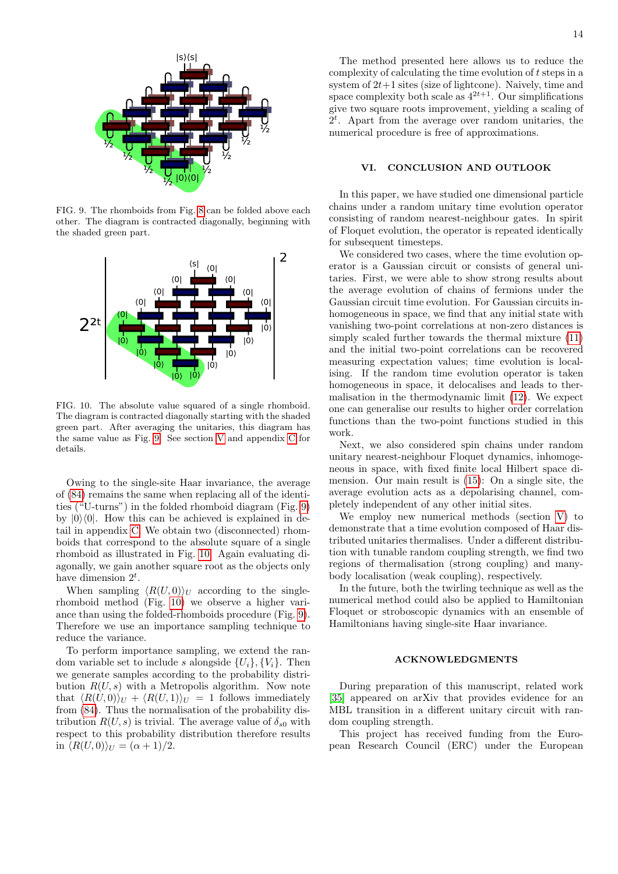

<span id="page-13-2"></span>FIG. 9. The rhomboids from Fig. [8](#page-12-1) can be folded above each other. The diagram is contracted diagonally, beginning with the shaded green part.



<span id="page-13-3"></span>FIG. 10. The absolute value squared of a single rhomboid. The diagram is contracted diagonally starting with the shaded green part. After averaging the unitaries, this diagram has the same value as Fig. [9.](#page-13-2) See section [V](#page-12-0) and appendix [C](#page-14-2) for details.

Owing to the single-site Haar invariance, the average of [\(84\)](#page-12-3) remains the same when replacing all of the identities ("U-turns") in the folded rhomboid diagram (Fig. [9\)](#page-13-2) by  $|0\rangle\langle 0|$ . How this can be achieved is explained in detail in appendix [C.](#page-14-2) We obtain two (disconnected) rhomboids that correspond to the absolute square of a single rhomboid as illustrated in Fig. [10.](#page-13-3) Again evaluating diagonally, we gain another square root as the objects only have dimension  $2^t$ .

When sampling  $\langle R(U, 0) \rangle_U$  according to the singlerhomboid method (Fig. [10\)](#page-13-3) we observe a higher variance than using the folded-rhomboids procedure (Fig. [9\)](#page-13-2). Therefore we use an importance sampling technique to reduce the variance.

To perform importance sampling, we extend the random variable set to include s alongside  $\{U_i\}$ ,  $\{V_i\}$ . Then we generate samples according to the probability distribution  $R(U, s)$  with a Metropolis algorithm. Now note that  $\langle R(U, 0)\rangle_U + \langle R(U, 1)\rangle_U = 1$  follows immediately from [\(84\)](#page-12-3). Thus the normalisation of the probability distribution  $R(U, s)$  is trivial. The average value of  $\delta_{s0}$  with respect to this probability distribution therefore results in  $\langle R(U, 0) \rangle_{U} = (\alpha + 1)/2$ .

The method presented here allows us to reduce the complexity of calculating the time evolution of  $t$  steps in a system of  $2t+1$  sites (size of lightcone). Naively, time and space complexity both scale as  $4^{2t+1}$ . Our simplifications give two square roots improvement, yielding a scaling of 2 t . Apart from the average over random unitaries, the numerical procedure is free of approximations.

# <span id="page-13-0"></span>VI. CONCLUSION AND OUTLOOK

In this paper, we have studied one dimensional particle chains under a random unitary time evolution operator consisting of random nearest-neighbour gates. In spirit of Floquet evolution, the operator is repeated identically for subsequent timesteps.

We considered two cases, where the time evolution operator is a Gaussian circuit or consists of general unitaries. First, we were able to show strong results about the average evolution of chains of fermions under the Gaussian circuit time evolution. For Gaussian circuits inhomogeneous in space, we find that any initial state with vanishing two-point correlations at non-zero distances is simply scaled further towards the thermal mixture [\(11\)](#page-3-4) and the initial two-point correlations can be recovered measuring expectation values; time evolution is localising. If the random time evolution operator is taken homogeneous in space, it delocalises and leads to thermalisation in the thermodynamic limit [\(12\)](#page-4-4). We expect one can generalise our results to higher order correlation functions than the two-point functions studied in this work.

Next, we also considered spin chains under random unitary nearest-neighbour Floquet dynamics, inhomogeneous in space, with fixed finite local Hilbert space dimension. Our main result is [\(15\)](#page-4-5): On a single site, the average evolution acts as a depolarising channel, completely independent of any other initial sites.

We employ new numerical methods (section [V\)](#page-12-0) to demonstrate that a time evolution composed of Haar distributed unitaries thermalises. Under a different distribution with tunable random coupling strength, we find two regions of thermalisation (strong coupling) and manybody localisation (weak coupling), respectively.

In the future, both the twirling technique as well as the numerical method could also be applied to Hamiltonian Floquet or stroboscopic dynamics with an ensemble of Hamiltonians having single-site Haar invariance.

# <span id="page-13-1"></span>ACKNOWLEDGMENTS

During preparation of this manuscript, related work [\[35\]](#page-16-5) appeared on arXiv that provides evidence for an MBL transition in a different unitary circuit with random coupling strength.

This project has received funding from the European Research Council (ERC) under the European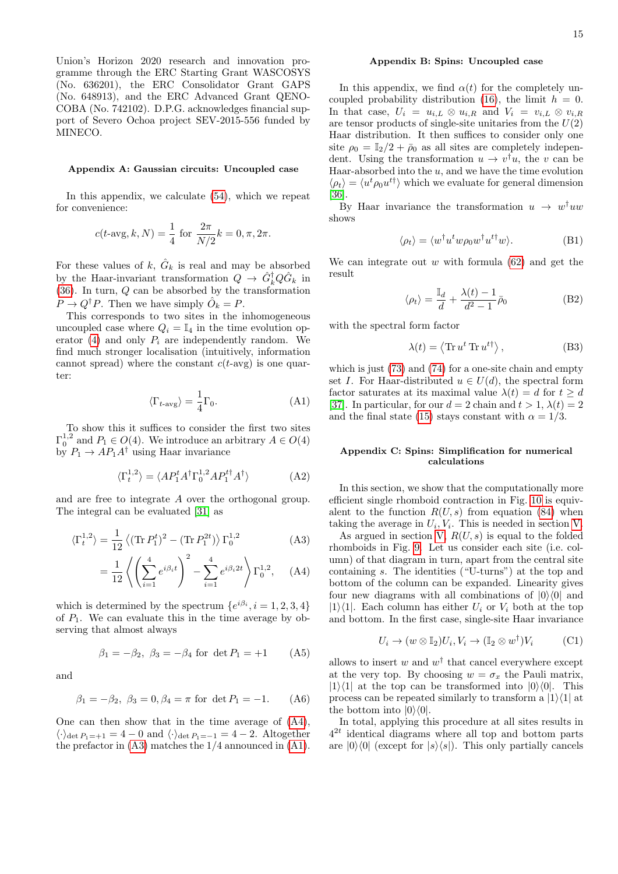Union's Horizon 2020 research and innovation programme through the ERC Starting Grant WASCOSYS (No. 636201), the ERC Consolidator Grant GAPS (No. 648913), and the ERC Advanced Grant QENO-COBA (No. 742102). D.P.G. acknowledges financial support of Severo Ochoa project SEV-2015-556 funded by MINECO.

### <span id="page-14-0"></span>Appendix A: Gaussian circuits: Uncoupled case

In this appendix, we calculate [\(54\)](#page-10-3), which we repeat for convenience:

<span id="page-14-5"></span>
$$
c(t\text{-avg}, k, N) = \frac{1}{4} \text{ for } \frac{2\pi}{N/2}k = 0, \pi, 2\pi.
$$

For these values of  $k, \hat{G}_k$  is real and may be absorbed by the Haar-invariant transformation  $Q \to \hat{G}_k^{\dagger} Q \hat{G}_k$  in  $(36)$ . In turn, Q can be absorbed by the transformation  $P \to Q^{\dagger} P$ . Then we have simply  $\hat{O}_k = P$ .

This corresponds to two sites in the inhomogeneous uncoupled case where  $Q_i = \mathbb{I}_4$  in the time evolution op-erator [\(4\)](#page-2-2) and only  $P_i$  are independently random. We find much stronger localisation (intuitively, information cannot spread) where the constant  $c(t$ -avg) is one quarter:

$$
\langle \Gamma_{t\text{-avg}} \rangle = \frac{1}{4} \Gamma_0. \tag{A1}
$$

To show this it suffices to consider the first two sites  $\Gamma_0^{1,2}$  and  $P_1 \in O(4)$ . We introduce an arbitrary  $A \in O(4)$ by  $P_1 \rightarrow AP_1A^{\dagger}$  using Haar invariance

$$
\langle \Gamma_t^{1,2} \rangle = \langle AP_1^t A^\dagger \Gamma_0^{1,2} A P_1^{t\dagger} A^\dagger \rangle \tag{A2}
$$

and are free to integrate A over the orthogonal group. The integral can be evaluated [\[31\]](#page-16-1) as

$$
\langle \Gamma_t^{1,2} \rangle = \frac{1}{12} \left\langle (\text{Tr} \, P_1^t)^2 - (\text{Tr} \, P_1^{2t}) \right\rangle \Gamma_0^{1,2} \tag{A3}
$$

$$
= \frac{1}{12} \left\langle \left( \sum_{i=1}^{4} e^{i\beta_i t} \right)^2 - \sum_{i=1}^{4} e^{i\beta_i 2t} \right\rangle \Gamma_0^{1,2}, \quad (A4)
$$

which is determined by the spectrum  $\{e^{i\beta_i}, i=1,2,3,4\}$ of  $P_1$ . We can evaluate this in the time average by observing that almost always

$$
\beta_1 = -\beta_2, \ \beta_3 = -\beta_4 \text{ for } \det P_1 = +1
$$
 (A5)

and

$$
\beta_1 = -\beta_2, \ \beta_3 = 0, \beta_4 = \pi \text{ for } \det P_1 = -1.
$$
 (A6)

One can then show that in the time average of [\(A4\)](#page-14-3),  $\langle \cdot \rangle_{\det P_1=+1} = 4 - 0$  and  $\langle \cdot \rangle_{\det P_1=-1} = 4 - 2$ . Altogether the prefactor in [\(A3\)](#page-14-4) matches the 1/4 announced in [\(A1\)](#page-14-5).

### <span id="page-14-1"></span>Appendix B: Spins: Uncoupled case

In this appendix, we find  $\alpha(t)$  for the completely un-coupled probability distribution [\(16\)](#page-5-3), the limit  $h = 0$ . In that case,  $U_i = u_{i,L} \otimes u_{i,R}$  and  $V_i = v_{i,L} \otimes v_{i,R}$ are tensor products of single-site unitaries from the  $U(2)$ Haar distribution. It then suffices to consider only one site  $\rho_0 = \mathbb{I}_2/2 + \bar{\rho}_0$  as all sites are completely independent. Using the transformation  $u \to v^{\dagger}u$ , the v can be Haar-absorbed into the  $u$ , and we have the time evolution  $\langle \rho_t \rangle = \langle u^t \rho_0 u^{t\dagger} \rangle$  which we evaluate for general dimension [\[36\]](#page-16-6).

By Haar invariance the transformation  $u \to w^{\dagger}uu$ shows

$$
\langle \rho_t \rangle = \langle w^\dagger u^t w \rho_0 w^\dagger u^{t\dagger} w \rangle. \tag{B1}
$$

We can integrate out  $w$  with formula  $(62)$  and get the result

$$
\langle \rho_t \rangle = \frac{\mathbb{I}_d}{d} + \frac{\lambda(t) - 1}{d^2 - 1} \bar{\rho}_0
$$
 (B2)

with the spectral form factor

$$
\lambda(t) = \langle \text{Tr} \, u^t \, \text{Tr} \, u^{t\dagger} \rangle, \tag{B3}
$$

which is just [\(73\)](#page-11-3) and [\(74\)](#page-11-5) for a one-site chain and empty set I. For Haar-distributed  $u \in U(d)$ , the spectral form factor saturates at its maximal value  $\lambda(t) = d$  for  $t > d$ [\[37\]](#page-16-7). In particular, for our  $d = 2$  chain and  $t > 1$ ,  $\lambda(t) = 2$ and the final state [\(15\)](#page-4-5) stays constant with  $\alpha = 1/3$ .

### <span id="page-14-2"></span>Appendix C: Spins: Simplification for numerical calculations

In this section, we show that the computationally more efficient single rhomboid contraction in Fig. [10](#page-13-3) is equivalent to the function  $R(U, s)$  from equation [\(84\)](#page-12-3) when taking the average in  $U_i$ ,  $V_i$ . This is needed in section [V.](#page-12-0)

<span id="page-14-4"></span><span id="page-14-3"></span>As argued in section [V,](#page-12-0)  $R(U, s)$  is equal to the folded rhomboids in Fig. [9.](#page-13-2) Let us consider each site (i.e. column) of that diagram in turn, apart from the central site containing s. The identities ("U-turns") at the top and bottom of the column can be expanded. Linearity gives four new diagrams with all combinations of  $|0\rangle\langle0|$  and  $|1\rangle\langle 1|$ . Each column has either  $U_i$  or  $V_i$  both at the top and bottom. In the first case, single-site Haar invariance

$$
U_i \to (w \otimes \mathbb{I}_2)U_i, V_i \to (\mathbb{I}_2 \otimes w^{\dagger})V_i
$$
 (C1)

allows to insert w and  $w^{\dagger}$  that cancel everywhere except at the very top. By choosing  $w = \sigma_x$  the Pauli matrix,  $|1\rangle\langle 1|$  at the top can be transformed into  $|0\rangle\langle 0|$ . This process can be repeated similarly to transform a  $|1\rangle\langle 1|$  at the bottom into  $|0\rangle\langle0|$ .

In total, applying this procedure at all sites results in  $4^{2t}$  identical diagrams where all top and bottom parts are  $|0\rangle\langle 0|$  (except for  $|s\rangle\langle s|$ ). This only partially cancels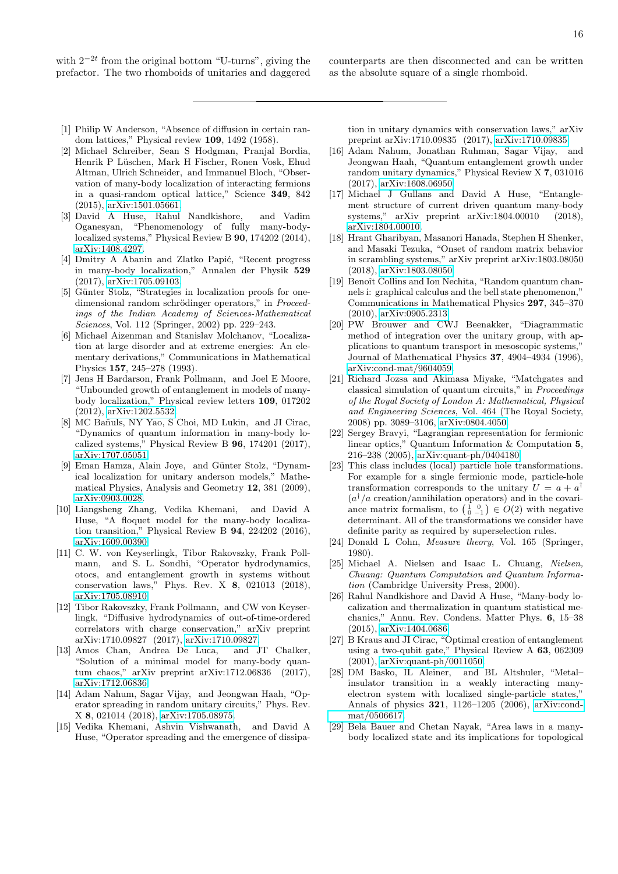with  $2^{-2t}$  from the original bottom "U-turns", giving the prefactor. The two rhomboids of unitaries and daggered <span id="page-15-0"></span>counterparts are then disconnected and can be written as the absolute square of a single rhomboid.

- <span id="page-15-1"></span>[1] Philip W Anderson, "Absence of diffusion in certain random lattices," Physical review 109, 1492 (1958).
- <span id="page-15-2"></span>[2] Michael Schreiber, Sean S Hodgman, Pranjal Bordia, Henrik P Lüschen, Mark H Fischer, Ronen Vosk, Ehud Altman, Ulrich Schneider, and Immanuel Bloch, "Observation of many-body localization of interacting fermions in a quasi-random optical lattice," Science 349, 842 (2015), [arXiv:1501.05661.](http://arxiv.org/abs/1501.05661)
- <span id="page-15-3"></span>[3] David A Huse, Rahul Nandkishore, and Vadim Oganesyan, "Phenomenology of fully many-bodylocalized systems," Physical Review B 90, 174202 (2014), [arXiv:1408.4297.](http://arxiv.org/abs/1408.4297)
- <span id="page-15-4"></span>[4] Dmitry A Abanin and Zlatko Papić, "Recent progress in many-body localization," Annalen der Physik 529 (2017), [arXiv:1705.09103.](http://arxiv.org/abs/1705.09103)
- <span id="page-15-5"></span>[5] Günter Stolz, "Strategies in localization proofs for onedimensional random schrödinger operators," in Proceedings of the Indian Academy of Sciences-Mathematical Sciences, Vol. 112 (Springer, 2002) pp. 229–243.
- <span id="page-15-6"></span>[6] Michael Aizenman and Stanislav Molchanov, "Localization at large disorder and at extreme energies: An elementary derivations," Communications in Mathematical Physics 157, 245–278 (1993).
- <span id="page-15-7"></span>[7] Jens H Bardarson, Frank Pollmann, and Joel E Moore, "Unbounded growth of entanglement in models of manybody localization," Physical review letters 109, 017202 (2012), [arXiv:1202.5532.](http://arxiv.org/abs/1202.5532)
- <span id="page-15-8"></span>[8] MC Bañuls, NY Yao, S Choi, MD Lukin, and JI Cirac, "Dynamics of quantum information in many-body localized systems," Physical Review B 96, 174201 (2017), [arXiv:1707.05051.](http://arxiv.org/abs/1707.05051)
- <span id="page-15-9"></span>[9] Eman Hamza, Alain Joye, and Günter Stolz, "Dynamical localization for unitary anderson models," Mathematical Physics, Analysis and Geometry 12, 381 (2009), [arXiv:0903.0028.](http://arxiv.org/abs/0903.0028)
- <span id="page-15-10"></span>[10] Liangsheng Zhang, Vedika Khemani, and David A Huse, "A floquet model for the many-body localization transition," Physical Review B 94, 224202 (2016), [arXiv:1609.00390.](http://arxiv.org/abs/1609.00390)
- <span id="page-15-11"></span>[11] C. W. von Keyserlingk, Tibor Rakovszky, Frank Pollmann, and S. L. Sondhi, "Operator hydrodynamics, otocs, and entanglement growth in systems without conservation laws," Phys. Rev. X 8, 021013 (2018), [arXiv:1705.08910.](http://arxiv.org/abs/1705.08910)
- <span id="page-15-14"></span>[12] Tibor Rakovszky, Frank Pollmann, and CW von Keyserlingk, "Diffusive hydrodynamics of out-of-time-ordered correlators with charge conservation," arXiv preprint arXiv:1710.09827 (2017), [arXiv:1710.09827.](http://arxiv.org/abs/1710.09827)
- <span id="page-15-16"></span>[13] Amos Chan, Andrea De Luca, and JT Chalker, "Solution of a minimal model for many-body quantum chaos," arXiv preprint arXiv:1712.06836 (2017), [arXiv:1712.06836.](http://arxiv.org/abs/1712.06836)
- <span id="page-15-13"></span>[14] Adam Nahum, Sagar Vijay, and Jeongwan Haah, "Operator spreading in random unitary circuits," Phys. Rev. X 8, 021014 (2018), [arXiv:1705.08975.](http://arxiv.org/abs/1705.08975)
- <span id="page-15-15"></span>[15] Vedika Khemani, Ashvin Vishwanath, and David A Huse, "Operator spreading and the emergence of dissipa-

tion in unitary dynamics with conservation laws," arXiv preprint arXiv:1710.09835 (2017), [arXiv:1710.09835.](http://arxiv.org/abs/1710.09835)

- [16] Adam Nahum, Jonathan Ruhman, Sagar Vijay, and Jeongwan Haah, "Quantum entanglement growth under random unitary dynamics," Physical Review X 7, 031016 (2017), [arXiv:1608.06950.](http://arxiv.org/abs/1608.06950)
- <span id="page-15-12"></span>[17] Michael J Gullans and David A Huse, "Entanglement structure of current driven quantum many-body systems," arXiv preprint arXiv:1804.00010 (2018), [arXiv:1804.00010.](http://arxiv.org/abs/1804.00010)
- <span id="page-15-17"></span>[18] Hrant Gharibyan, Masanori Hanada, Stephen H Shenker, and Masaki Tezuka, "Onset of random matrix behavior in scrambling systems," arXiv preprint arXiv:1803.08050 (2018), [arXiv:1803.08050.](http://arxiv.org/abs/1803.08050)
- <span id="page-15-18"></span>[19] Benoît Collins and Ion Nechita, "Random quantum channels i: graphical calculus and the bell state phenomenon," Communications in Mathematical Physics 297, 345–370 (2010), [arXiv:0905.2313.](http://arxiv.org/abs/0905.2313)
- <span id="page-15-19"></span>[20] PW Brouwer and CWJ Beenakker, "Diagrammatic method of integration over the unitary group, with applications to quantum transport in mesoscopic systems," Journal of Mathematical Physics 37, 4904–4934 (1996), [arXiv:cond-mat/9604059.](http://arxiv.org/abs/cond-mat/9604059)
- <span id="page-15-20"></span>[21] Richard Jozsa and Akimasa Miyake, "Matchgates and classical simulation of quantum circuits," in Proceedings of the Royal Society of London A: Mathematical, Physical and Engineering Sciences, Vol. 464 (The Royal Society, 2008) pp. 3089–3106, [arXiv:0804.4050.](http://arxiv.org/abs/0804.4050)
- <span id="page-15-21"></span>[22] Sergey Bravyi, "Lagrangian representation for fermionic linear optics," Quantum Information & Computation 5, 216–238 (2005), [arXiv:quant-ph/0404180.](http://arxiv.org/abs/quant-ph/0404180)
- <span id="page-15-22"></span>[23] This class includes (local) particle hole transformations. For example for a single fermionic mode, particle-hole transformation corresponds to the unitary  $U = a + a^{\dagger}$  $(a^{\dagger}/a \text{ creation}/\text{annihilation operators})$  and in the covariance matrix formalism, to  $\begin{pmatrix} 1 & 0 \\ 0 & -1 \end{pmatrix} \in O(2)$  with negative determinant. All of the transformations we consider have definite parity as required by superselection rules.
- <span id="page-15-23"></span>[24] Donald L Cohn, *Measure theory*, Vol. 165 (Springer, 1980).
- <span id="page-15-24"></span>[25] Michael A. Nielsen and Isaac L. Chuang, Nielsen, Chuang: Quantum Computation and Quantum Information (Cambridge University Press, 2000).
- <span id="page-15-25"></span>[26] Rahul Nandkishore and David A Huse, "Many-body localization and thermalization in quantum statistical mechanics," Annu. Rev. Condens. Matter Phys. 6, 15–38 (2015), [arXiv:1404.0686.](http://arxiv.org/abs/1404.0686)
- <span id="page-15-26"></span>[27] B Kraus and JI Cirac, "Optimal creation of entanglement using a two-qubit gate," Physical Review A 63, 062309 (2001), [arXiv:quant-ph/0011050.](http://arxiv.org/abs/quant-ph/0011050)
- <span id="page-15-27"></span>[28] DM Basko, IL Aleiner, and BL Altshuler, "Metal– insulator transition in a weakly interacting manyelectron system with localized single-particle states," Annals of physics 321, 1126–1205 (2006), [arXiv:cond](http://arxiv.org/abs/cond-mat/0506617)[mat/0506617.](http://arxiv.org/abs/cond-mat/0506617)
- <span id="page-15-28"></span>[29] Bela Bauer and Chetan Nayak, "Area laws in a manybody localized state and its implications for topological